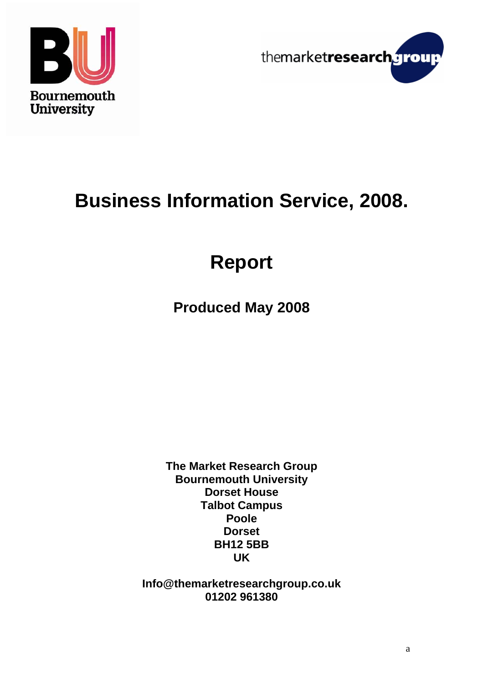



# **Business Information Service, 2008.**

# **Report**

**Produced May 2008** 

**The Market Research Group Bournemouth University Dorset House Talbot Campus Poole Dorset BH12 5BB UK** 

**Info@themarketresearchgroup.co.uk 01202 961380**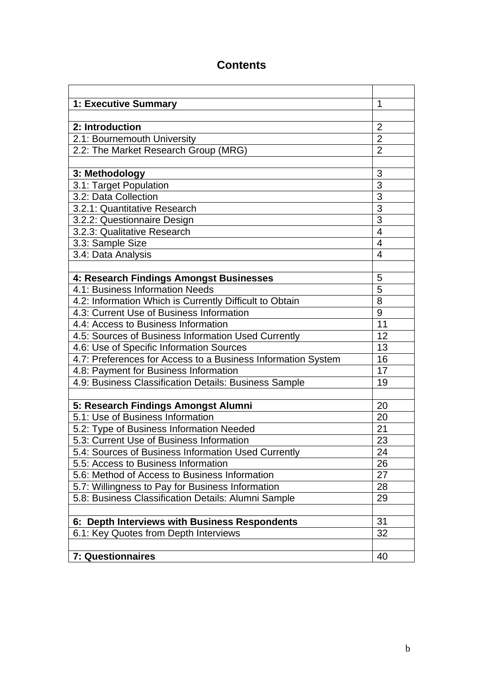### **Contents**

| 1: Executive Summary                                         | 1              |
|--------------------------------------------------------------|----------------|
|                                                              |                |
| 2: Introduction                                              | $\overline{2}$ |
| 2.1: Bournemouth University                                  | $\overline{2}$ |
| 2.2: The Market Research Group (MRG)                         | $\overline{2}$ |
|                                                              |                |
| 3: Methodology                                               | 3              |
| 3.1: Target Population                                       | $\overline{3}$ |
| 3.2: Data Collection                                         | $\overline{3}$ |
| 3.2.1: Quantitative Research                                 | $\overline{3}$ |
| 3.2.2: Questionnaire Design                                  | $\overline{3}$ |
| 3.2.3: Qualitative Research                                  | $\overline{4}$ |
| 3.3: Sample Size                                             | $\overline{4}$ |
| 3.4: Data Analysis                                           | $\overline{4}$ |
|                                                              |                |
| 4: Research Findings Amongst Businesses                      | 5              |
| 4.1: Business Information Needs                              | 5              |
| 4.2: Information Which is Currently Difficult to Obtain      | 8              |
| 4.3: Current Use of Business Information                     | 9              |
| 4.4: Access to Business Information                          | 11             |
| 4.5: Sources of Business Information Used Currently          | 12             |
| 4.6: Use of Specific Information Sources                     | 13             |
| 4.7: Preferences for Access to a Business Information System | 16             |
| 4.8: Payment for Business Information                        | 17             |
| 4.9: Business Classification Details: Business Sample        | 19             |
|                                                              |                |
| 5: Research Findings Amongst Alumni                          | 20             |
| 5.1: Use of Business Information                             | 20             |
| 5.2: Type of Business Information Needed                     | 21             |
| 5.3: Current Use of Business Information                     | 23             |
| 5.4: Sources of Business Information Used Currently          | 24             |
| 5.5: Access to Business Information                          | 26             |
| 5.6: Method of Access to Business Information                | 27             |
| 5.7: Willingness to Pay for Business Information             | 28             |
| 5.8: Business Classification Details: Alumni Sample          | 29             |
|                                                              |                |
| 6: Depth Interviews with Business Respondents                | 31             |
| 6.1: Key Quotes from Depth Interviews                        | 32             |
|                                                              |                |
| <b>7: Questionnaires</b>                                     | 40             |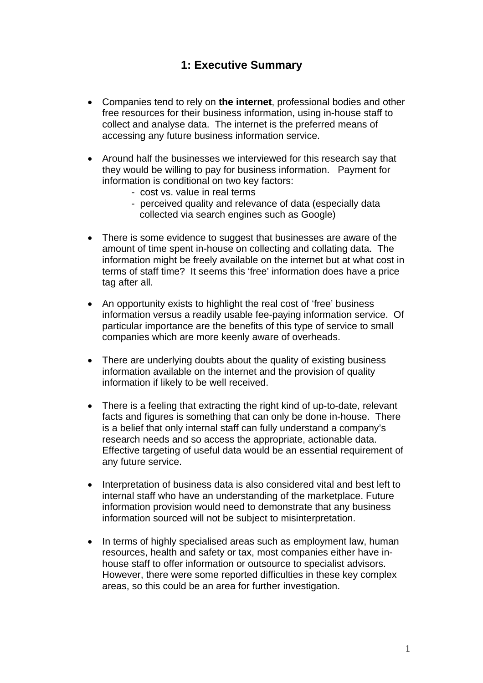### **1: Executive Summary**

- Companies tend to rely on **the internet**, professional bodies and other free resources for their business information, using in-house staff to collect and analyse data. The internet is the preferred means of accessing any future business information service.
- Around half the businesses we interviewed for this research say that they would be willing to pay for business information. Payment for information is conditional on two key factors:
	- cost vs. value in real terms
	- perceived quality and relevance of data (especially data collected via search engines such as Google)
- There is some evidence to suggest that businesses are aware of the amount of time spent in-house on collecting and collating data. The information might be freely available on the internet but at what cost in terms of staff time? It seems this 'free' information does have a price tag after all.
- An opportunity exists to highlight the real cost of 'free' business information versus a readily usable fee-paying information service. Of particular importance are the benefits of this type of service to small companies which are more keenly aware of overheads.
- There are underlying doubts about the quality of existing business information available on the internet and the provision of quality information if likely to be well received.
- There is a feeling that extracting the right kind of up-to-date, relevant facts and figures is something that can only be done in-house. There is a belief that only internal staff can fully understand a company's research needs and so access the appropriate, actionable data. Effective targeting of useful data would be an essential requirement of any future service.
- Interpretation of business data is also considered vital and best left to internal staff who have an understanding of the marketplace. Future information provision would need to demonstrate that any business information sourced will not be subject to misinterpretation.
- In terms of highly specialised areas such as employment law, human resources, health and safety or tax, most companies either have inhouse staff to offer information or outsource to specialist advisors. However, there were some reported difficulties in these key complex areas, so this could be an area for further investigation.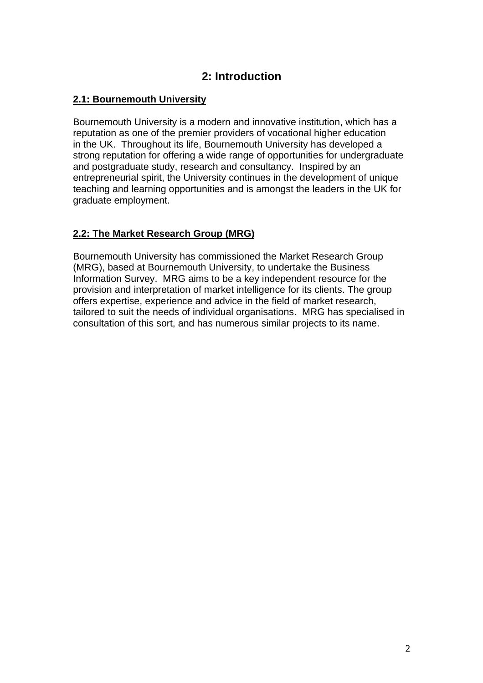### **2: Introduction**

#### **2.1: Bournemouth University**

Bournemouth University is a modern and innovative institution, which has a reputation as one of the premier providers of vocational higher education in the UK. Throughout its life, Bournemouth University has developed a strong reputation for offering a wide range of opportunities for undergraduate and postgraduate study, research and consultancy. Inspired by an entrepreneurial spirit, the University continues in the development of unique teaching and learning opportunities and is amongst the leaders in the UK for graduate employment.

### **2.2: The Market Research Group (MRG)**

Bournemouth University has commissioned the Market Research Group (MRG), based at Bournemouth University, to undertake the Business Information Survey. MRG aims to be a key independent resource for the provision and interpretation of market intelligence for its clients. The group offers expertise, experience and advice in the field of market research, tailored to suit the needs of individual organisations. MRG has specialised in consultation of this sort, and has numerous similar projects to its name.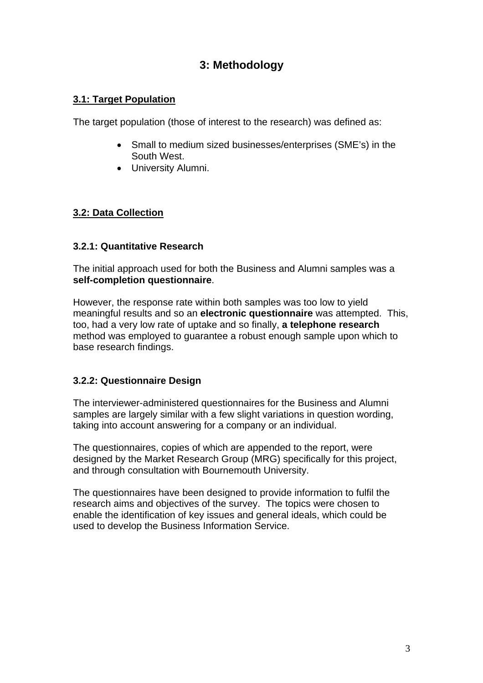### **3: Methodology**

### **3.1: Target Population**

The target population (those of interest to the research) was defined as:

- Small to medium sized businesses/enterprises (SME's) in the South West.
- University Alumni.

### **3.2: Data Collection**

### **3.2.1: Quantitative Research**

The initial approach used for both the Business and Alumni samples was a **self-completion questionnaire**.

However, the response rate within both samples was too low to yield meaningful results and so an **electronic questionnaire** was attempted. This, too, had a very low rate of uptake and so finally, **a telephone research** method was employed to guarantee a robust enough sample upon which to base research findings.

### **3.2.2: Questionnaire Design**

The interviewer-administered questionnaires for the Business and Alumni samples are largely similar with a few slight variations in question wording, taking into account answering for a company or an individual.

The questionnaires, copies of which are appended to the report, were designed by the Market Research Group (MRG) specifically for this project, and through consultation with Bournemouth University.

The questionnaires have been designed to provide information to fulfil the research aims and objectives of the survey. The topics were chosen to enable the identification of key issues and general ideals, which could be used to develop the Business Information Service.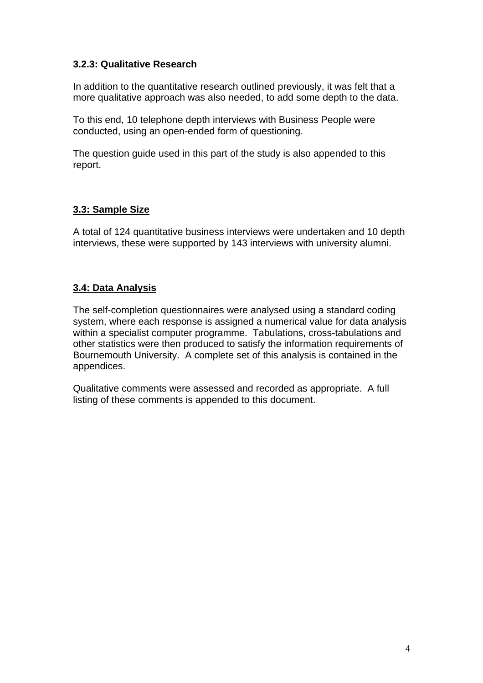#### **3.2.3: Qualitative Research**

In addition to the quantitative research outlined previously, it was felt that a more qualitative approach was also needed, to add some depth to the data.

To this end, 10 telephone depth interviews with Business People were conducted, using an open-ended form of questioning.

The question guide used in this part of the study is also appended to this report.

#### **3.3: Sample Size**

A total of 124 quantitative business interviews were undertaken and 10 depth interviews, these were supported by 143 interviews with university alumni.

### **3.4: Data Analysis**

The self-completion questionnaires were analysed using a standard coding system, where each response is assigned a numerical value for data analysis within a specialist computer programme. Tabulations, cross-tabulations and other statistics were then produced to satisfy the information requirements of Bournemouth University. A complete set of this analysis is contained in the appendices.

Qualitative comments were assessed and recorded as appropriate. A full listing of these comments is appended to this document.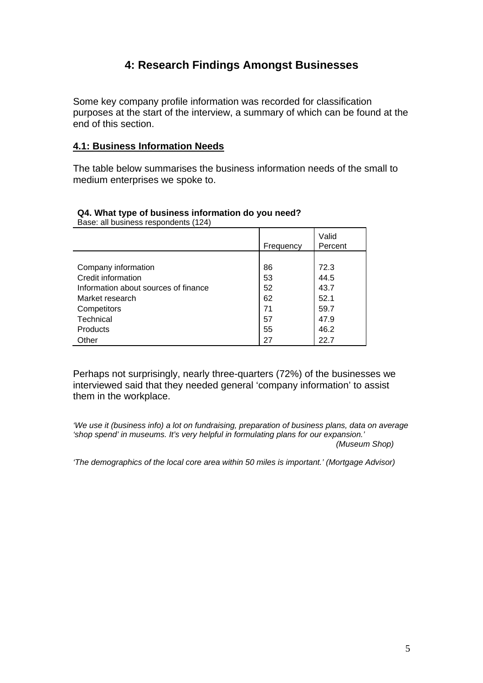### **4: Research Findings Amongst Businesses**

Some key company profile information was recorded for classification purposes at the start of the interview, a summary of which can be found at the end of this section.

#### **4.1: Business Information Needs**

The table below summarises the business information needs of the small to medium enterprises we spoke to.

|                                      | Frequency | Valid<br>Percent |
|--------------------------------------|-----------|------------------|
|                                      |           |                  |
| Company information                  | 86        | 72.3             |
| Credit information                   | 53        | 44.5             |
| Information about sources of finance | 52        | 43.7             |
| Market research                      | 62        | 52.1             |
| Competitors                          | 71        | 59.7             |
| Technical                            | 57        | 47.9             |
| <b>Products</b>                      | 55        | 46.2             |
| Other                                | 27        | 22.7             |

#### **Q4. What type of business information do you need?**  Base: all business respondents (124)

Perhaps not surprisingly, nearly three-quarters (72%) of the businesses we interviewed said that they needed general 'company information' to assist them in the workplace.

*'We use it (business info) a lot on fundraising, preparation of business plans, data on average 'shop spend' in museums. It's very helpful in formulating plans for our expansion.' (Museum Shop)* 

*'The demographics of the local core area within 50 miles is important.' (Mortgage Advisor)*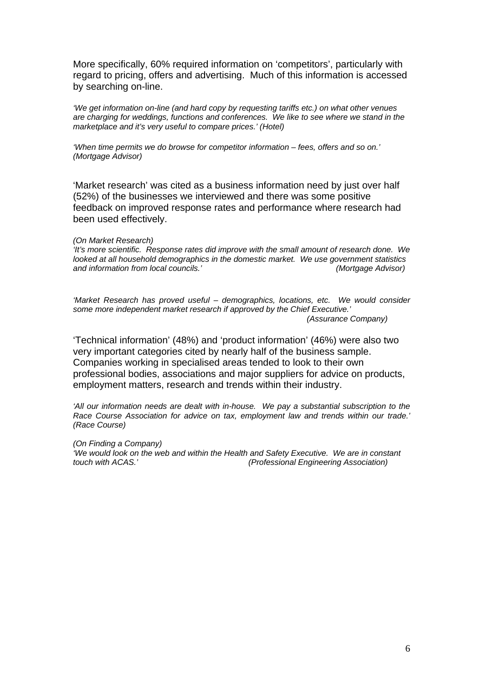More specifically, 60% required information on 'competitors', particularly with regard to pricing, offers and advertising. Much of this information is accessed by searching on-line.

*'We get information on-line (and hard copy by requesting tariffs etc.) on what other venues are charging for weddings, functions and conferences. We like to see where we stand in the marketplace and it's very useful to compare prices.' (Hotel)* 

*'When time permits we do browse for competitor information – fees, offers and so on.' (Mortgage Advisor)* 

'Market research' was cited as a business information need by just over half (52%) of the businesses we interviewed and there was some positive feedback on improved response rates and performance where research had been used effectively.

#### *(On Market Research)*

*'It's more scientific. Response rates did improve with the small amount of research done. We looked at all household demographics in the domestic market. We use government statistics and information from local councils.' (Mortgage Advisor)* 

*'Market Research has proved useful – demographics, locations, etc. We would consider some more independent market research if approved by the Chief Executive.' (Assurance Company)* 

'Technical information' (48%) and 'product information' (46%) were also two very important categories cited by nearly half of the business sample. Companies working in specialised areas tended to look to their own professional bodies, associations and major suppliers for advice on products, employment matters, research and trends within their industry.

*'All our information needs are dealt with in-house. We pay a substantial subscription to the Race Course Association for advice on tax, employment law and trends within our trade.' (Race Course)* 

*(On Finding a Company) 'We would look on the web and within the Health and Safety Executive. We are in constant touch with ACAS.' (Professional Engineering Association)*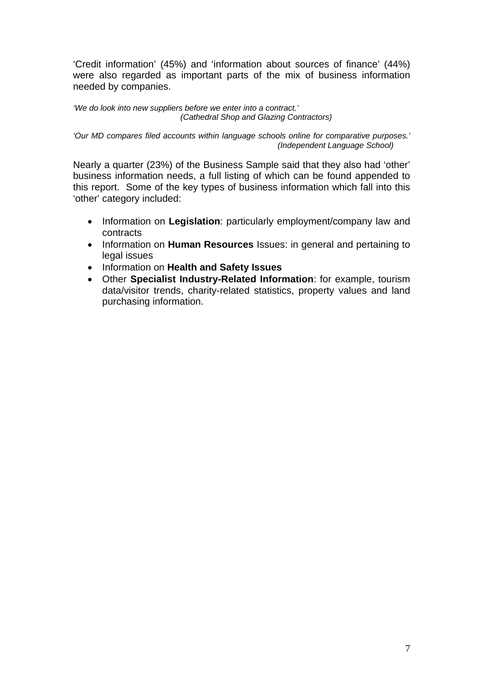'Credit information' (45%) and 'information about sources of finance' (44%) were also regarded as important parts of the mix of business information needed by companies.

*'We do look into new suppliers before we enter into a contract.' (Cathedral Shop and Glazing Contractors)* 

*'Our MD compares filed accounts within language schools online for comparative purposes.' (Independent Language School)* 

Nearly a quarter (23%) of the Business Sample said that they also had 'other' business information needs, a full listing of which can be found appended to this report. Some of the key types of business information which fall into this 'other' category included:

- Information on **Legislation**: particularly employment/company law and contracts
- Information on **Human Resources** Issues: in general and pertaining to legal issues
- Information on **Health and Safety Issues**
- Other **Specialist Industry-Related Information**: for example, tourism data/visitor trends, charity-related statistics, property values and land purchasing information.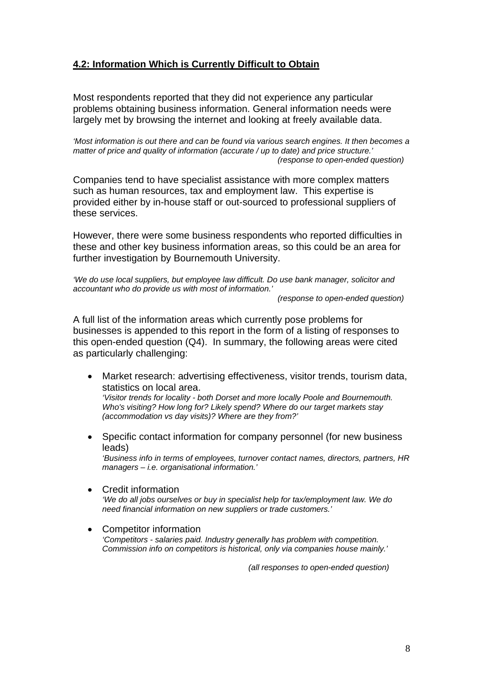### **4.2: Information Which is Currently Difficult to Obtain**

Most respondents reported that they did not experience any particular problems obtaining business information. General information needs were largely met by browsing the internet and looking at freely available data.

*'Most information is out there and can be found via various search engines. It then becomes a matter of price and quality of information (accurate / up to date) and price structure.' (response to open-ended question)* 

Companies tend to have specialist assistance with more complex matters such as human resources, tax and employment law. This expertise is provided either by in-house staff or out-sourced to professional suppliers of these services.

However, there were some business respondents who reported difficulties in these and other key business information areas, so this could be an area for further investigation by Bournemouth University.

*'We do use local suppliers, but employee law difficult. Do use bank manager, solicitor and accountant who do provide us with most of information.'* 

 *(response to open-ended question)* 

A full list of the information areas which currently pose problems for businesses is appended to this report in the form of a listing of responses to this open-ended question (Q4). In summary, the following areas were cited as particularly challenging:

Market research: advertising effectiveness, visitor trends, tourism data, statistics on local area.

*'Visitor trends for locality - both Dorset and more locally Poole and Bournemouth. Who's visiting? How long for? Likely spend? Where do our target markets stay (accommodation vs day visits)? Where are they from?'* 

• Specific contact information for company personnel (for new business leads)

*'Business info in terms of employees, turnover contact names, directors, partners, HR managers – i.e. organisational information.'* 

• Credit information

*'We do all jobs ourselves or buy in specialist help for tax/employment law. We do need financial information on new suppliers or trade customers.'* 

• Competitor information *'Competitors - salaries paid. Industry generally has problem with competition. Commission info on competitors is historical, only via companies house mainly.'* 

 *(all responses to open-ended question)*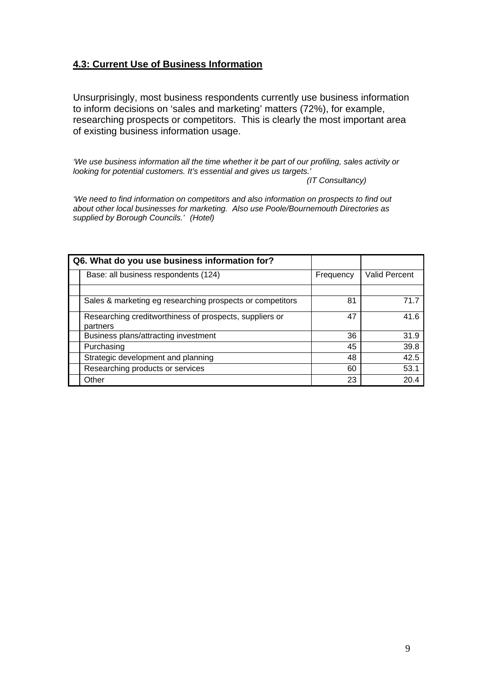### **4.3: Current Use of Business Information**

Unsurprisingly, most business respondents currently use business information to inform decisions on 'sales and marketing' matters (72%), for example, researching prospects or competitors. This is clearly the most important area of existing business information usage.

*'We use business information all the time whether it be part of our profiling, sales activity or looking for potential customers. It's essential and gives us targets.'* 

*(IT Consultancy)* 

*'We need to find information on competitors and also information on prospects to find out about other local businesses for marketing. Also use Poole/Bournemouth Directories as supplied by Borough Councils.' (Hotel)* 

| Q6. What do you use business information for?                       |           |                      |
|---------------------------------------------------------------------|-----------|----------------------|
| Base: all business respondents (124)                                | Frequency | <b>Valid Percent</b> |
|                                                                     |           |                      |
| Sales & marketing eg researching prospects or competitors           | 81        | 71.7                 |
| Researching creditworthiness of prospects, suppliers or<br>partners | 47        | 41.6                 |
| Business plans/attracting investment                                | 36        | 31.9                 |
| Purchasing                                                          | 45        | 39.8                 |
| Strategic development and planning                                  | 48        | 42.5                 |
| Researching products or services                                    | 60        | 53.1                 |
| Other                                                               | 23        | 20.4                 |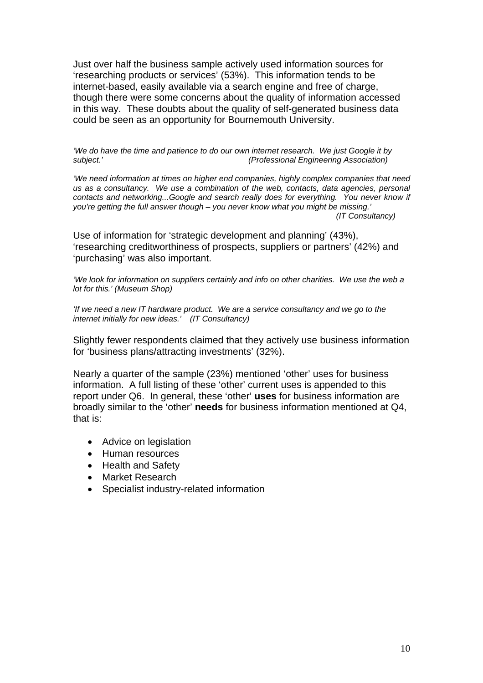Just over half the business sample actively used information sources for 'researching products or services' (53%). This information tends to be internet-based, easily available via a search engine and free of charge, though there were some concerns about the quality of information accessed in this way. These doubts about the quality of self-generated business data could be seen as an opportunity for Bournemouth University.

*'We do have the time and patience to do our own internet research. We just Google it by subject.' (Professional Engineering Association)* 

*'We need information at times on higher end companies, highly complex companies that need us as a consultancy. We use a combination of the web, contacts, data agencies, personal contacts and networking...Google and search really does for everything. You never know if you're getting the full answer though – you never know what you might be missing.' (IT Consultancy)* 

Use of information for 'strategic development and planning' (43%), 'researching creditworthiness of prospects, suppliers or partners' (42%) and 'purchasing' was also important.

*'We look for information on suppliers certainly and info on other charities. We use the web a lot for this.' (Museum Shop)* 

*'If we need a new IT hardware product. We are a service consultancy and we go to the internet initially for new ideas.' (IT Consultancy)* 

Slightly fewer respondents claimed that they actively use business information for 'business plans/attracting investments' (32%).

Nearly a quarter of the sample (23%) mentioned 'other' uses for business information. A full listing of these 'other' current uses is appended to this report under Q6. In general, these 'other' **uses** for business information are broadly similar to the 'other' **needs** for business information mentioned at Q4, that is:

- Advice on legislation
- Human resources
- Health and Safety
- Market Research
- Specialist industry-related information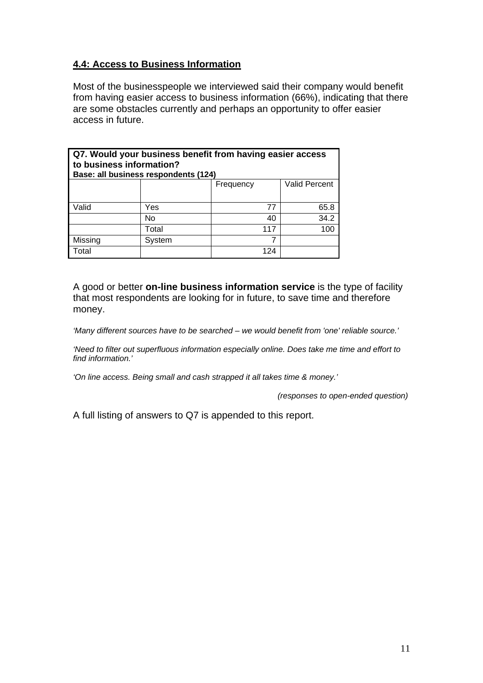### **4.4: Access to Business Information**

Most of the businesspeople we interviewed said their company would benefit from having easier access to business information (66%), indicating that there are some obstacles currently and perhaps an opportunity to offer easier access in future.

| Q7. Would your business benefit from having easier access<br>to business information?<br>Base: all business respondents (124) |        |     |      |  |
|-------------------------------------------------------------------------------------------------------------------------------|--------|-----|------|--|
| Valid Percent<br>Frequency                                                                                                    |        |     |      |  |
| Valid                                                                                                                         | Yes    | 77  | 65.8 |  |
|                                                                                                                               | No     | 40  | 34.2 |  |
|                                                                                                                               | Total  | 117 | 100  |  |
| Missing                                                                                                                       | System |     |      |  |
| Total                                                                                                                         |        | 124 |      |  |

A good or better **on-line business information service** is the type of facility that most respondents are looking for in future, to save time and therefore money.

*'Many different sources have to be searched – we would benefit from 'one' reliable source.'* 

*'Need to filter out superfluous information especially online. Does take me time and effort to find information.'* 

*'On line access. Being small and cash strapped it all takes time & money.'* 

 *(responses to open-ended question)* 

A full listing of answers to Q7 is appended to this report.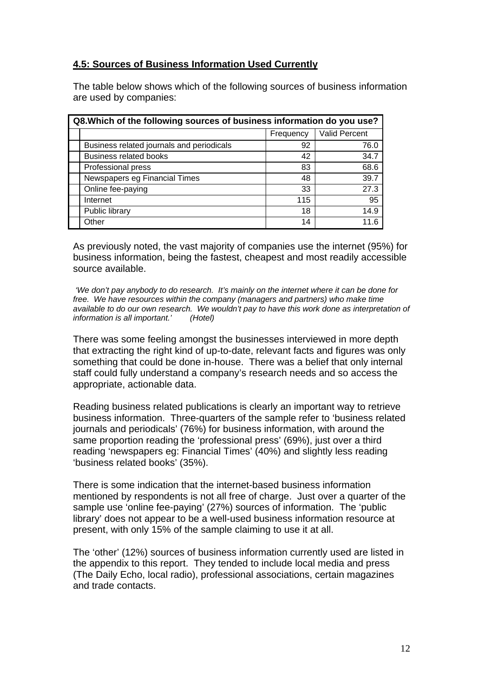### **4.5: Sources of Business Information Used Currently**

The table below shows which of the following sources of business information are used by companies:

| Q8. Which of the following sources of business information do you use? |                                           |           |                      |
|------------------------------------------------------------------------|-------------------------------------------|-----------|----------------------|
|                                                                        |                                           | Frequency | <b>Valid Percent</b> |
|                                                                        | Business related journals and periodicals | 92        | 76.0                 |
|                                                                        | <b>Business related books</b>             | 42        | 34.7                 |
|                                                                        | Professional press                        | 83        | 68.6                 |
|                                                                        | Newspapers eg Financial Times             | 48        | 39.7                 |
|                                                                        | Online fee-paying                         | 33        | 27.3                 |
|                                                                        | Internet                                  | 115       | 95                   |
|                                                                        | Public library                            | 18        | 14.9                 |
|                                                                        | Other                                     | 14        | 11 6                 |

As previously noted, the vast majority of companies use the internet (95%) for business information, being the fastest, cheapest and most readily accessible source available.

 *'We don't pay anybody to do research. It's mainly on the internet where it can be done for free. We have resources within the company (managers and partners) who make time available to do our own research. We wouldn't pay to have this work done as interpretation of information is all important.' (Hotel)* 

There was some feeling amongst the businesses interviewed in more depth that extracting the right kind of up-to-date, relevant facts and figures was only something that could be done in-house. There was a belief that only internal staff could fully understand a company's research needs and so access the appropriate, actionable data.

Reading business related publications is clearly an important way to retrieve business information. Three-quarters of the sample refer to 'business related journals and periodicals' (76%) for business information, with around the same proportion reading the 'professional press' (69%), just over a third reading 'newspapers eg: Financial Times' (40%) and slightly less reading 'business related books' (35%).

There is some indication that the internet-based business information mentioned by respondents is not all free of charge. Just over a quarter of the sample use 'online fee-paying' (27%) sources of information. The 'public library' does not appear to be a well-used business information resource at present, with only 15% of the sample claiming to use it at all.

The 'other' (12%) sources of business information currently used are listed in the appendix to this report. They tended to include local media and press (The Daily Echo, local radio), professional associations, certain magazines and trade contacts.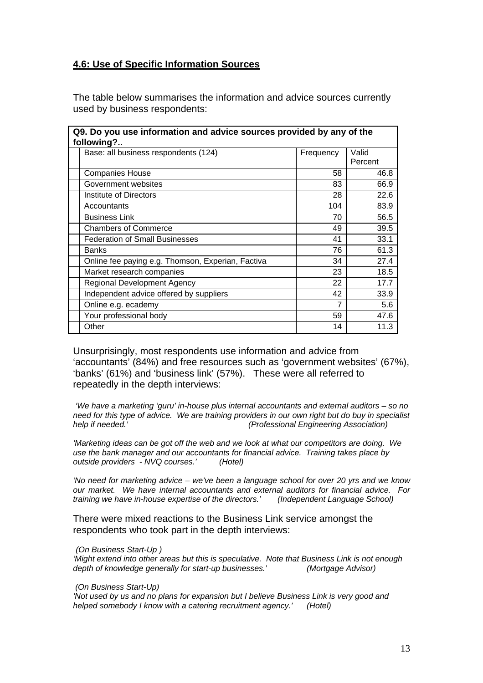#### **4.6: Use of Specific Information Sources**

The table below summarises the information and advice sources currently used by business respondents:

| Q9. Do you use information and advice sources provided by any of the<br>following? |           |         |  |
|------------------------------------------------------------------------------------|-----------|---------|--|
| Base: all business respondents (124)                                               | Frequency | Valid   |  |
|                                                                                    |           | Percent |  |
| <b>Companies House</b>                                                             | 58        | 46.8    |  |
| Government websites                                                                | 83        | 66.9    |  |
| <b>Institute of Directors</b>                                                      | 28        | 22.6    |  |
| Accountants                                                                        | 104       | 83.9    |  |
| <b>Business Link</b>                                                               | 70        | 56.5    |  |
| <b>Chambers of Commerce</b>                                                        | 49        | 39.5    |  |
| <b>Federation of Small Businesses</b>                                              | 41        | 33.1    |  |
| <b>Banks</b>                                                                       | 76        | 61.3    |  |
| Online fee paying e.g. Thomson, Experian, Factiva                                  | 34        | 27.4    |  |
| Market research companies                                                          | 23        | 18.5    |  |
| <b>Regional Development Agency</b>                                                 | 22        | 17.7    |  |
| Independent advice offered by suppliers                                            | 42        | 33.9    |  |
| Online e.g. ecademy                                                                | 7         | 5.6     |  |
| Your professional body                                                             | 59        | 47.6    |  |
| Other                                                                              | 14        | 11.3    |  |

Unsurprisingly, most respondents use information and advice from 'accountants' (84%) and free resources such as 'government websites' (67%), 'banks' (61%) and 'business link' (57%). These were all referred to repeatedly in the depth interviews:

 *'We have a marketing 'guru' in-house plus internal accountants and external auditors – so no need for this type of advice. We are training providers in our own right but do buy in specialist (Professional Engineering Association)* 

*'Marketing ideas can be got off the web and we look at what our competitors are doing. We use the bank manager and our accountants for financial advice. Training takes place by outside providers - NVQ courses.' (Hotel)* 

*'No need for marketing advice – we've been a language school for over 20 yrs and we know our market. We have internal accountants and external auditors for financial advice. For training we have in-house expertise of the directors.'* 

There were mixed reactions to the Business Link service amongst the respondents who took part in the depth interviews:

#### *(On Business Start-Up )*

*'Might extend into other areas but this is speculative. Note that Business Link is not enough depth of knowledge generally for start-up businesses.' (Mortgage Advisor)* 

 *(On Business Start-Up)* 

*'Not used by us and no plans for expansion but I believe Business Link is very good and helped somebody I know with a catering recruitment agency.' (Hotel)*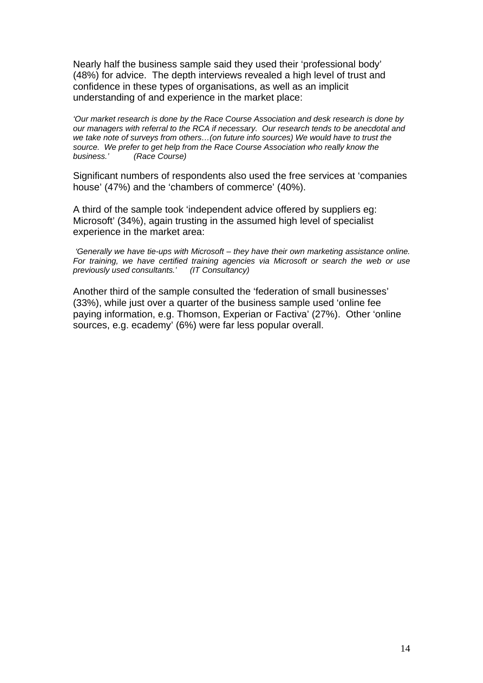Nearly half the business sample said they used their 'professional body' (48%) for advice. The depth interviews revealed a high level of trust and confidence in these types of organisations, as well as an implicit understanding of and experience in the market place:

*'Our market research is done by the Race Course Association and desk research is done by our managers with referral to the RCA if necessary. Our research tends to be anecdotal and we take note of surveys from others…(on future info sources) We would have to trust the source. We prefer to get help from the Race Course Association who really know the business.' (Race Course)* 

Significant numbers of respondents also used the free services at 'companies house' (47%) and the 'chambers of commerce' (40%).

A third of the sample took 'independent advice offered by suppliers eg: Microsoft' (34%), again trusting in the assumed high level of specialist experience in the market area:

 *'Generally we have tie-ups with Microsoft – they have their own marketing assistance online. For training, we have certified training agencies via Microsoft or search the web or use previously used consultants.' (IT Consultancy)* 

Another third of the sample consulted the 'federation of small businesses' (33%), while just over a quarter of the business sample used 'online fee paying information, e.g. Thomson, Experian or Factiva' (27%). Other 'online sources, e.g. ecademy' (6%) were far less popular overall.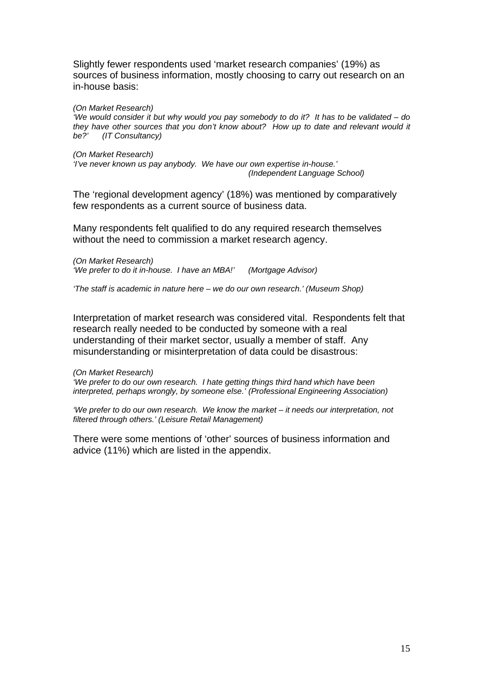Slightly fewer respondents used 'market research companies' (19%) as sources of business information, mostly choosing to carry out research on an in-house basis:

*(On Market Research)* 

*'We would consider it but why would you pay somebody to do it? It has to be validated – do they have other sources that you don't know about? How up to date and relevant would it be?' (IT Consultancy)* 

*(On Market Research) 'I've never known us pay anybody. We have our own expertise in-house.' (Independent Language School)* 

The 'regional development agency' (18%) was mentioned by comparatively few respondents as a current source of business data.

Many respondents felt qualified to do any required research themselves without the need to commission a market research agency.

*(On Market Research) 'We prefer to do it in-house. I have an MBA!' (Mortgage Advisor)* 

*'The staff is academic in nature here – we do our own research.' (Museum Shop)* 

Interpretation of market research was considered vital. Respondents felt that research really needed to be conducted by someone with a real understanding of their market sector, usually a member of staff. Any misunderstanding or misinterpretation of data could be disastrous:

*(On Market Research)* 

*'We prefer to do our own research. I hate getting things third hand which have been interpreted, perhaps wrongly, by someone else.' (Professional Engineering Association)* 

*'We prefer to do our own research. We know the market – it needs our interpretation, not filtered through others.' (Leisure Retail Management)* 

There were some mentions of 'other' sources of business information and advice (11%) which are listed in the appendix.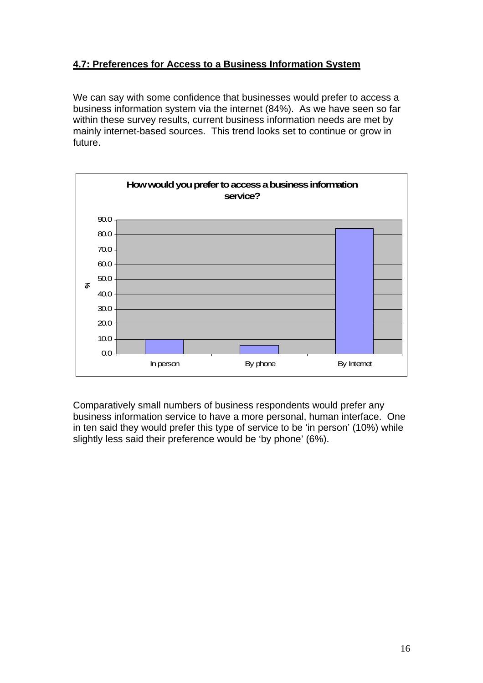### **4.7: Preferences for Access to a Business Information System**

We can say with some confidence that businesses would prefer to access a business information system via the internet (84%). As we have seen so far within these survey results, current business information needs are met by mainly internet-based sources. This trend looks set to continue or grow in future.



Comparatively small numbers of business respondents would prefer any business information service to have a more personal, human interface. One in ten said they would prefer this type of service to be 'in person' (10%) while slightly less said their preference would be 'by phone' (6%).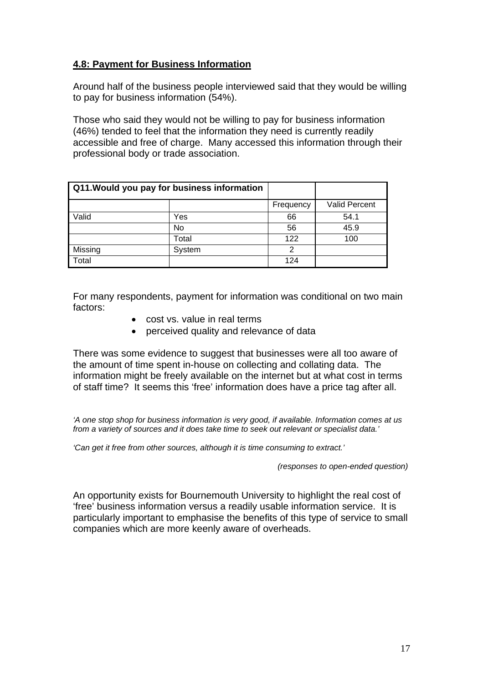### **4.8: Payment for Business Information**

Around half of the business people interviewed said that they would be willing to pay for business information (54%).

Those who said they would not be willing to pay for business information (46%) tended to feel that the information they need is currently readily accessible and free of charge. Many accessed this information through their professional body or trade association.

| Q11. Would you pay for business information |           |           |               |
|---------------------------------------------|-----------|-----------|---------------|
|                                             |           | Frequency | Valid Percent |
| Valid                                       | Yes       | 66        | 54.1          |
|                                             | <b>No</b> | 56        | 45.9          |
|                                             | Total     | 122       | 100           |
| Missing                                     | System    | 2         |               |
| Total                                       |           | 124       |               |

For many respondents, payment for information was conditional on two main factors:

- cost vs. value in real terms
- perceived quality and relevance of data

There was some evidence to suggest that businesses were all too aware of the amount of time spent in-house on collecting and collating data. The information might be freely available on the internet but at what cost in terms of staff time? It seems this 'free' information does have a price tag after all.

*'A one stop shop for business information is very good, if available. Information comes at us from a variety of sources and it does take time to seek out relevant or specialist data.'* 

*'Can get it free from other sources, although it is time consuming to extract.'* 

 *(responses to open-ended question)* 

An opportunity exists for Bournemouth University to highlight the real cost of 'free' business information versus a readily usable information service. It is particularly important to emphasise the benefits of this type of service to small companies which are more keenly aware of overheads.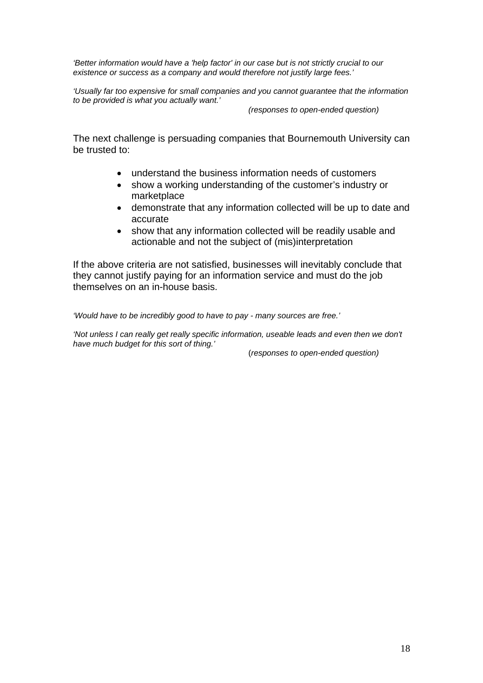*'Better information would have a 'help factor' in our case but is not strictly crucial to our existence or success as a company and would therefore not justify large fees.'* 

*'Usually far too expensive for small companies and you cannot guarantee that the information to be provided is what you actually want.'* 

 *(responses to open-ended question)* 

The next challenge is persuading companies that Bournemouth University can be trusted to:

- understand the business information needs of customers
- show a working understanding of the customer's industry or marketplace
- demonstrate that any information collected will be up to date and accurate
- show that any information collected will be readily usable and actionable and not the subject of (mis)interpretation

If the above criteria are not satisfied, businesses will inevitably conclude that they cannot justify paying for an information service and must do the job themselves on an in-house basis.

*'Would have to be incredibly good to have to pay - many sources are free.'* 

*'Not unless I can really get really specific information, useable leads and even then we don't have much budget for this sort of thing.'* 

(*responses to open-ended question)*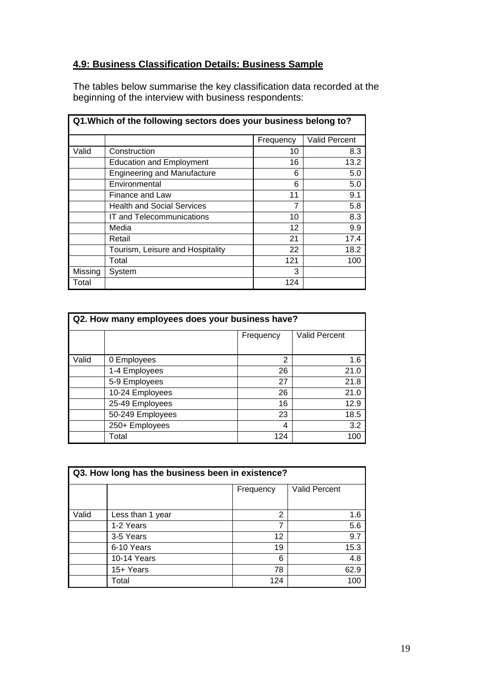### **4.9: Business Classification Details: Business Sample**

The tables below summarise the key classification data recorded at the beginning of the interview with business respondents:

|         | Q1. Which of the following sectors does your business belong to? |                 |               |  |
|---------|------------------------------------------------------------------|-----------------|---------------|--|
|         |                                                                  | Frequency       | Valid Percent |  |
| Valid   | Construction                                                     | 10              | 8.3           |  |
|         | <b>Education and Employment</b>                                  | 16              | 13.2          |  |
|         | <b>Engineering and Manufacture</b>                               | 6               | 5.0           |  |
|         | Environmental                                                    | 6               | 5.0           |  |
|         | Finance and Law                                                  | 11              | 9.1           |  |
|         | <b>Health and Social Services</b>                                | 7               | 5.8           |  |
|         | IT and Telecommunications                                        | 10              | 8.3           |  |
|         | Media                                                            | 12 <sup>2</sup> | 9.9           |  |
|         | Retail                                                           | 21              | 17.4          |  |
|         | Tourism, Leisure and Hospitality                                 | 22              | 18.2          |  |
|         | Total                                                            | 121             | 100           |  |
| Missing | System                                                           | 3               |               |  |
| Total   |                                                                  | 124             |               |  |

| Q2. How many employees does your business have? |                  |           |                      |  |
|-------------------------------------------------|------------------|-----------|----------------------|--|
|                                                 |                  | Frequency | <b>Valid Percent</b> |  |
|                                                 |                  |           |                      |  |
| Valid                                           | 0 Employees      | 2         | 1.6                  |  |
|                                                 | 1-4 Employees    | 26        | 21.0                 |  |
|                                                 | 5-9 Employees    | 27        | 21.8                 |  |
|                                                 | 10-24 Employees  | 26        | 21.0                 |  |
|                                                 | 25-49 Employees  | 16        | 12.9                 |  |
|                                                 | 50-249 Employees | 23        | 18.5                 |  |
|                                                 | 250+ Employees   | 4         | 3.2                  |  |
|                                                 | Total            | 124       | 100                  |  |

| Q3. How long has the business been in existence? |                  |           |                      |  |
|--------------------------------------------------|------------------|-----------|----------------------|--|
|                                                  |                  | Frequency | <b>Valid Percent</b> |  |
|                                                  |                  |           |                      |  |
| Valid                                            | Less than 1 year | 2         | 1.6                  |  |
|                                                  | 1-2 Years        | 7         | 5.6                  |  |
|                                                  | 3-5 Years        | 12        | 9.7                  |  |
|                                                  | 6-10 Years       | 19        | 15.3                 |  |
|                                                  | 10-14 Years      | 6         | 4.8                  |  |
|                                                  | 15+ Years        | 78        | 62.9                 |  |
|                                                  | Total            | 124       |                      |  |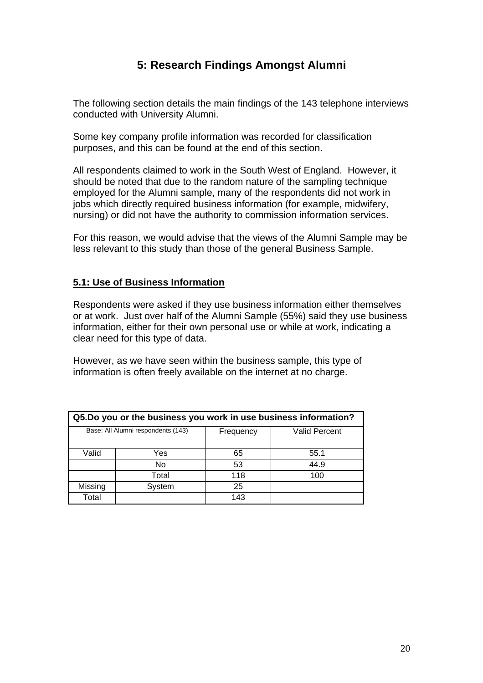### **5: Research Findings Amongst Alumni**

The following section details the main findings of the 143 telephone interviews conducted with University Alumni.

Some key company profile information was recorded for classification purposes, and this can be found at the end of this section.

All respondents claimed to work in the South West of England. However, it should be noted that due to the random nature of the sampling technique employed for the Alumni sample, many of the respondents did not work in jobs which directly required business information (for example, midwifery, nursing) or did not have the authority to commission information services.

For this reason, we would advise that the views of the Alumni Sample may be less relevant to this study than those of the general Business Sample.

#### **5.1: Use of Business Information**

Respondents were asked if they use business information either themselves or at work. Just over half of the Alumni Sample (55%) said they use business information, either for their own personal use or while at work, indicating a clear need for this type of data.

However, as we have seen within the business sample, this type of information is often freely available on the internet at no charge.

| Q5.Do you or the business you work in use business information? |                                    |           |                      |  |
|-----------------------------------------------------------------|------------------------------------|-----------|----------------------|--|
|                                                                 | Base: All Alumni respondents (143) | Frequency | <b>Valid Percent</b> |  |
| Valid                                                           | Yes                                | 65        | 55.1                 |  |
|                                                                 | No                                 | 53        | 44.9                 |  |
|                                                                 | Total                              | 118       | 100                  |  |
| Missing                                                         | System                             | 25        |                      |  |
| Total                                                           |                                    | 143       |                      |  |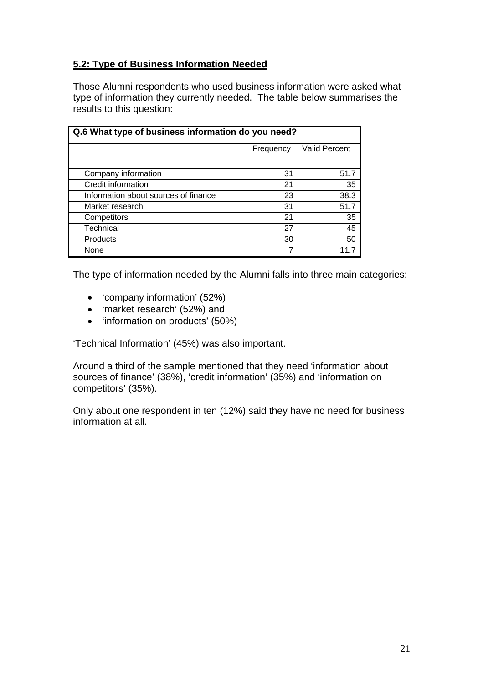### **5.2: Type of Business Information Needed**

Those Alumni respondents who used business information were asked what type of information they currently needed. The table below summarises the results to this question:

| Q.6 What type of business information do you need? |           |                      |  |
|----------------------------------------------------|-----------|----------------------|--|
|                                                    | Frequency | <b>Valid Percent</b> |  |
|                                                    |           |                      |  |
| Company information                                | 31        | 51.7                 |  |
| Credit information                                 | 21        | 35                   |  |
| Information about sources of finance               | 23        | 38.3                 |  |
| Market research                                    | 31        | 51.7                 |  |
| Competitors                                        | 21        | 35                   |  |
| Technical                                          | 27        | 45                   |  |
| Products                                           | 30        | 50                   |  |
| None                                               | 7         |                      |  |

The type of information needed by the Alumni falls into three main categories:

- 'company information' (52%)
- 'market research' (52%) and
- 'information on products' (50%)

'Technical Information' (45%) was also important.

Around a third of the sample mentioned that they need 'information about sources of finance' (38%), 'credit information' (35%) and 'information on competitors' (35%).

Only about one respondent in ten (12%) said they have no need for business information at all.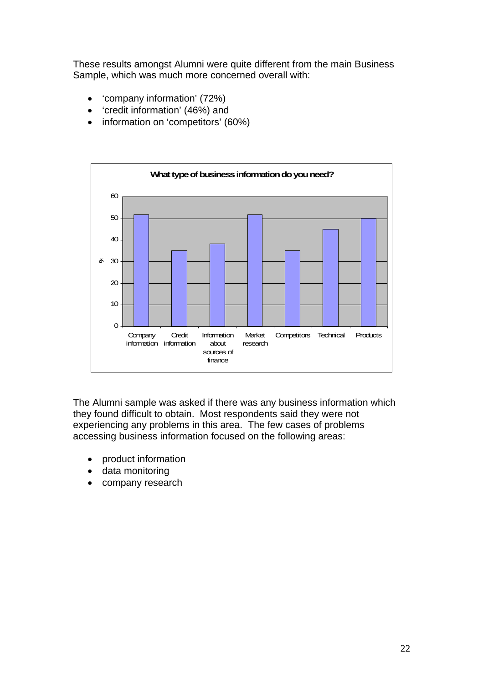These results amongst Alumni were quite different from the main Business Sample, which was much more concerned overall with:

- 'company information' (72%)
- 'credit information' (46%) and
- information on 'competitors' (60%)



The Alumni sample was asked if there was any business information which they found difficult to obtain. Most respondents said they were not experiencing any problems in this area. The few cases of problems accessing business information focused on the following areas:

- product information
- data monitoring
- company research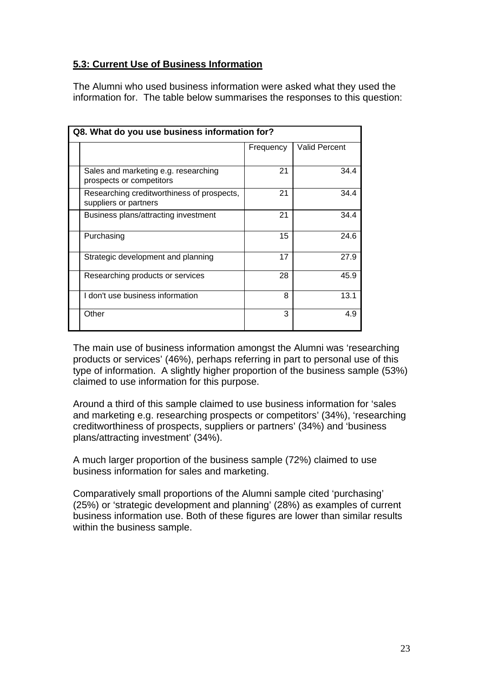### **5.3: Current Use of Business Information**

The Alumni who used business information were asked what they used the information for. The table below summarises the responses to this question:

| Q8. What do you use business information for?                       |           |                      |
|---------------------------------------------------------------------|-----------|----------------------|
|                                                                     | Frequency | <b>Valid Percent</b> |
| Sales and marketing e.g. researching<br>prospects or competitors    | 21        | 34.4                 |
| Researching creditworthiness of prospects,<br>suppliers or partners | 21        | 34.4                 |
| Business plans/attracting investment                                | 21        | 34.4                 |
| Purchasing                                                          | 15        | 24.6                 |
| Strategic development and planning                                  | 17        | 27.9                 |
| Researching products or services                                    | 28        | 45.9                 |
| I don't use business information                                    | 8         | 13.1                 |
| Other                                                               | 3         | 4.9                  |

The main use of business information amongst the Alumni was 'researching products or services' (46%), perhaps referring in part to personal use of this type of information. A slightly higher proportion of the business sample (53%) claimed to use information for this purpose.

Around a third of this sample claimed to use business information for 'sales and marketing e.g. researching prospects or competitors' (34%), 'researching creditworthiness of prospects, suppliers or partners' (34%) and 'business plans/attracting investment' (34%).

A much larger proportion of the business sample (72%) claimed to use business information for sales and marketing.

Comparatively small proportions of the Alumni sample cited 'purchasing' (25%) or 'strategic development and planning' (28%) as examples of current business information use. Both of these figures are lower than similar results within the business sample.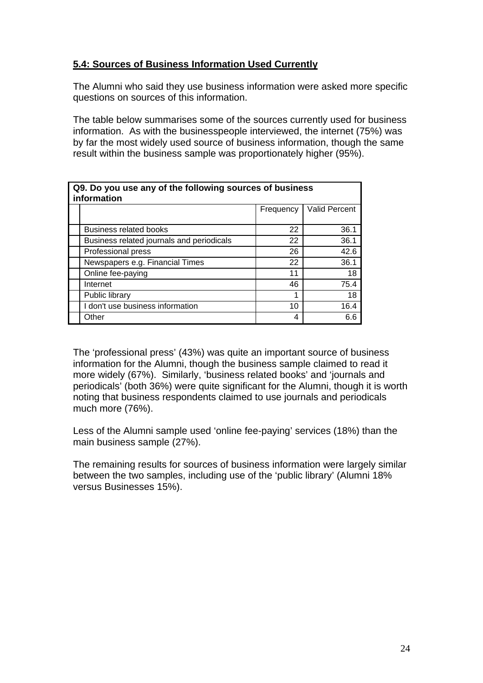### **5.4: Sources of Business Information Used Currently**

The Alumni who said they use business information were asked more specific questions on sources of this information.

The table below summarises some of the sources currently used for business information. As with the businesspeople interviewed, the internet (75%) was by far the most widely used source of business information, though the same result within the business sample was proportionately higher (95%).

| Q9. Do you use any of the following sources of business<br>information |           |               |  |
|------------------------------------------------------------------------|-----------|---------------|--|
|                                                                        | Frequency | Valid Percent |  |
| <b>Business related books</b>                                          | 22        | 36.1          |  |
| Business related journals and periodicals                              | 22        | 36.1          |  |
| Professional press                                                     | 26        | 42.6          |  |
| Newspapers e.g. Financial Times                                        | 22        | 36.1          |  |
| Online fee-paying                                                      | 11        | 18            |  |
| Internet                                                               | 46        | 75.4          |  |
| Public library                                                         | 1         | 18            |  |
| I don't use business information                                       | 10        | 16.4          |  |
| Other                                                                  | 4         | 6.6           |  |

The 'professional press' (43%) was quite an important source of business information for the Alumni, though the business sample claimed to read it more widely (67%). Similarly, 'business related books' and 'journals and periodicals' (both 36%) were quite significant for the Alumni, though it is worth noting that business respondents claimed to use journals and periodicals much more (76%).

Less of the Alumni sample used 'online fee-paying' services (18%) than the main business sample (27%).

The remaining results for sources of business information were largely similar between the two samples, including use of the 'public library' (Alumni 18% versus Businesses 15%).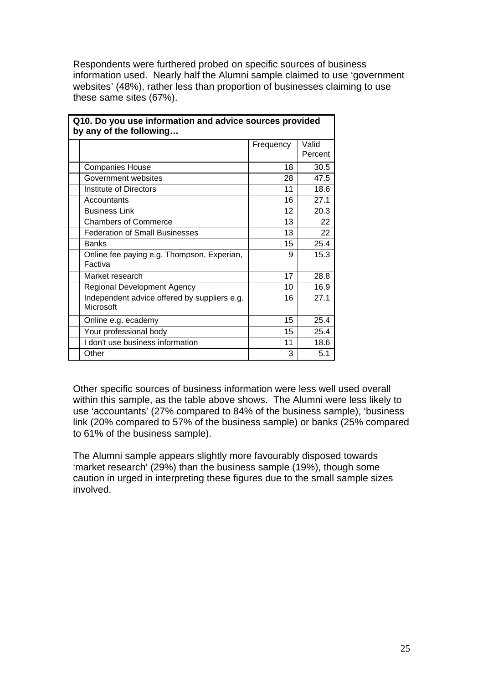Respondents were furthered probed on specific sources of business information used. Nearly half the Alumni sample claimed to use 'government websites' (48%), rather less than proportion of businesses claiming to use these same sites (67%).

| Q10. DO you use imomialion and advice sources provided<br>by any of the following |           |                  |
|-----------------------------------------------------------------------------------|-----------|------------------|
|                                                                                   | Frequency | Valid<br>Percent |
| <b>Companies House</b>                                                            | 18        | 30.5             |
| Government websites                                                               | 28        | 47.5             |
| Institute of Directors                                                            | 11        | 18.6             |
| Accountants                                                                       | 16        | 27.1             |
| <b>Business Link</b>                                                              | 12        | 20.3             |
| <b>Chambers of Commerce</b>                                                       | 13        | 22               |
| <b>Federation of Small Businesses</b>                                             | 13        | 22               |
| <b>Banks</b>                                                                      | 15        | 25.4             |
| Online fee paying e.g. Thompson, Experian,<br>Factiva                             | 9         | 15.3             |
| Market research                                                                   | 17        | 28.8             |
| Regional Development Agency                                                       | 10        | 16.9             |
| Independent advice offered by suppliers e.g.<br>Microsoft                         | 16        | 27.1             |
| Online e.g. ecademy                                                               | 15        | 25.4             |
| Your professional body                                                            | 15        | 25.4             |
| I don't use business information                                                  | 11        | 18.6             |
| Other                                                                             | 3         | 5.1              |

**Q10. Do you use information and advice sources provided** 

Other specific sources of business information were less well used overall within this sample, as the table above shows. The Alumni were less likely to use 'accountants' (27% compared to 84% of the business sample), 'business link (20% compared to 57% of the business sample) or banks (25% compared to 61% of the business sample).

The Alumni sample appears slightly more favourably disposed towards 'market research' (29%) than the business sample (19%), though some caution in urged in interpreting these figures due to the small sample sizes involved.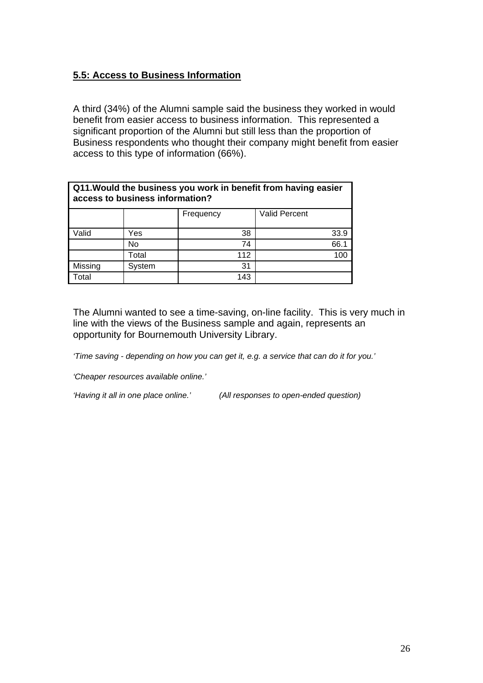### **5.5: Access to Business Information**

A third (34%) of the Alumni sample said the business they worked in would benefit from easier access to business information. This represented a significant proportion of the Alumni but still less than the proportion of Business respondents who thought their company might benefit from easier access to this type of information (66%).

| Q11. Would the business you work in benefit from having easier<br>access to business information? |        |           |                      |
|---------------------------------------------------------------------------------------------------|--------|-----------|----------------------|
|                                                                                                   |        | Frequency | <b>Valid Percent</b> |
| Valid                                                                                             | Yes    | 38        | 33.9                 |
|                                                                                                   | No     | 74        | 66.1                 |
|                                                                                                   | Total  | 112       | 100                  |
| Missing                                                                                           | System | 31        |                      |
| Total                                                                                             |        | 143       |                      |

The Alumni wanted to see a time-saving, on-line facility. This is very much in line with the views of the Business sample and again, represents an opportunity for Bournemouth University Library.

*'Time saving - depending on how you can get it, e.g. a service that can do it for you.'* 

*'Cheaper resources available online.'* 

*'Having it all in one place online.' (All responses to open-ended question)*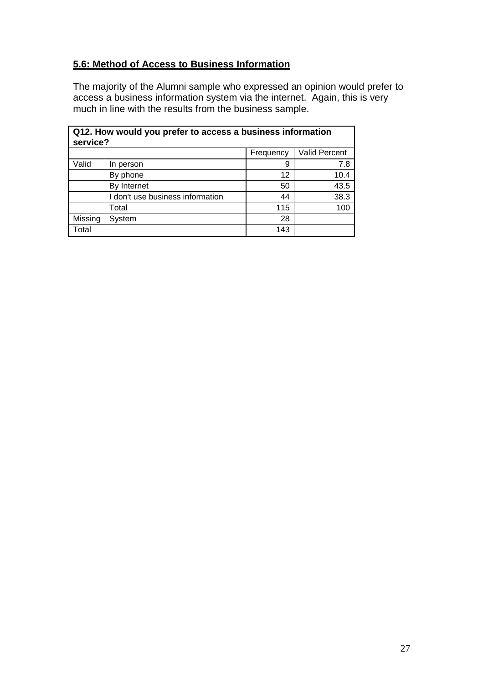### **5.6: Method of Access to Business Information**

The majority of the Alumni sample who expressed an opinion would prefer to access a business information system via the internet. Again, this is very much in line with the results from the business sample.

|         | Q12. How would you prefer to access a business information<br>service? |           |                      |
|---------|------------------------------------------------------------------------|-----------|----------------------|
|         |                                                                        | Frequency | <b>Valid Percent</b> |
| Valid   | In person                                                              | 9         | 7.8                  |
|         | By phone                                                               | 12        | 10.4                 |
|         | By Internet                                                            | 50        | 43.5                 |
|         | I don't use business information                                       | 44        | 38.3                 |
|         | Total                                                                  | 115       | 100                  |
| Missing | System                                                                 | 28        |                      |
| Total   |                                                                        | 143       |                      |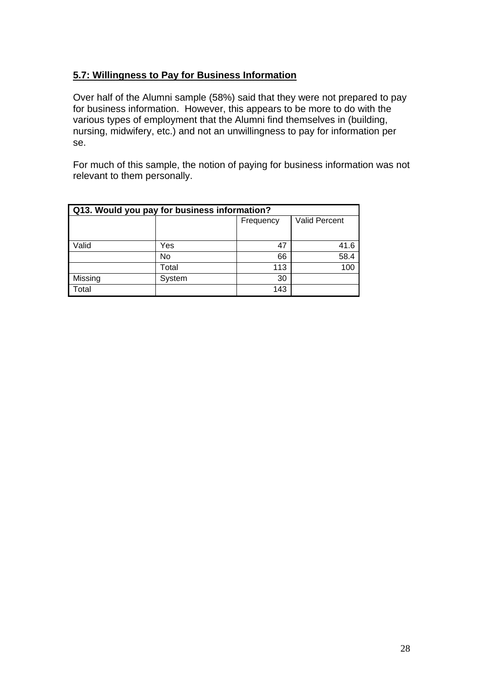### **5.7: Willingness to Pay for Business Information**

Over half of the Alumni sample (58%) said that they were not prepared to pay for business information. However, this appears to be more to do with the various types of employment that the Alumni find themselves in (building, nursing, midwifery, etc.) and not an unwillingness to pay for information per se.

For much of this sample, the notion of paying for business information was not relevant to them personally.

| Q13. Would you pay for business information? |        |           |               |
|----------------------------------------------|--------|-----------|---------------|
|                                              |        | Frequency | Valid Percent |
|                                              |        |           |               |
| Valid                                        | Yes    | 47        | 41.6          |
|                                              | No     | 66        | 58.4          |
|                                              | Total  | 113       | 100           |
| Missing                                      | System | 30        |               |
| Total                                        |        | 143       |               |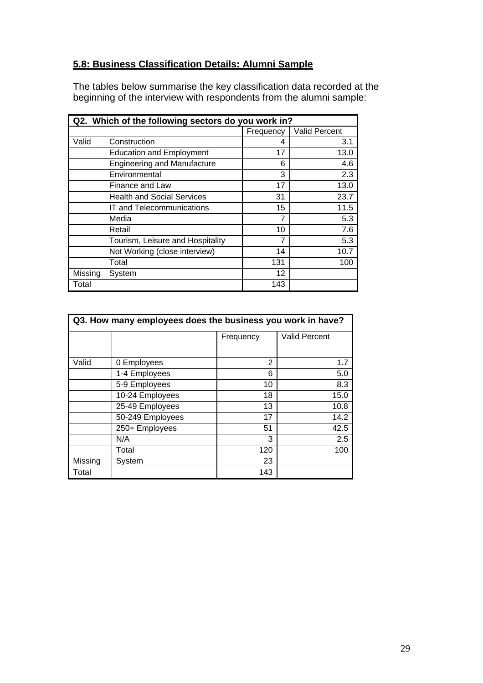### **5.8: Business Classification Details: Alumni Sample**

The tables below summarise the key classification data recorded at the beginning of the interview with respondents from the alumni sample:

|         | Q2. Which of the following sectors do you work in? |           |               |
|---------|----------------------------------------------------|-----------|---------------|
|         |                                                    | Frequency | Valid Percent |
| Valid   | Construction                                       | 4         | 3.1           |
|         | <b>Education and Employment</b>                    | 17        | 13.0          |
|         | <b>Engineering and Manufacture</b>                 | 6         | 4.6           |
|         | Environmental                                      | 3         | 2.3           |
|         | Finance and Law                                    | 17        | 13.0          |
|         | <b>Health and Social Services</b>                  | 31        | 23.7          |
|         | IT and Telecommunications                          | 15        | 11.5          |
|         | Media                                              | 7         | 5.3           |
|         | Retail                                             | 10        | 7.6           |
|         | Tourism, Leisure and Hospitality                   | 7         | 5.3           |
|         | Not Working (close interview)                      | 14        | 10.7          |
|         | Total                                              | 131       | 100           |
| Missing | System                                             | 12        |               |
| Total   |                                                    | 143       |               |

| Q3. How many employees does the business you work in have? |                  |                |                      |
|------------------------------------------------------------|------------------|----------------|----------------------|
|                                                            |                  | Frequency      | <b>Valid Percent</b> |
| Valid                                                      | 0 Employees      | $\overline{2}$ | 1.7                  |
|                                                            | 1-4 Employees    | 6              | 5.0                  |
|                                                            | 5-9 Employees    | 10             | 8.3                  |
|                                                            | 10-24 Employees  | 18             | 15.0                 |
|                                                            | 25-49 Employees  | 13             | 10.8                 |
|                                                            | 50-249 Employees | 17             | 14.2                 |
|                                                            | 250+ Employees   | 51             | 42.5                 |
|                                                            | N/A              | 3              | 2.5                  |
|                                                            | Total            | 120            | 100                  |
| Missing                                                    | System           | 23             |                      |
| Total                                                      |                  | 143            |                      |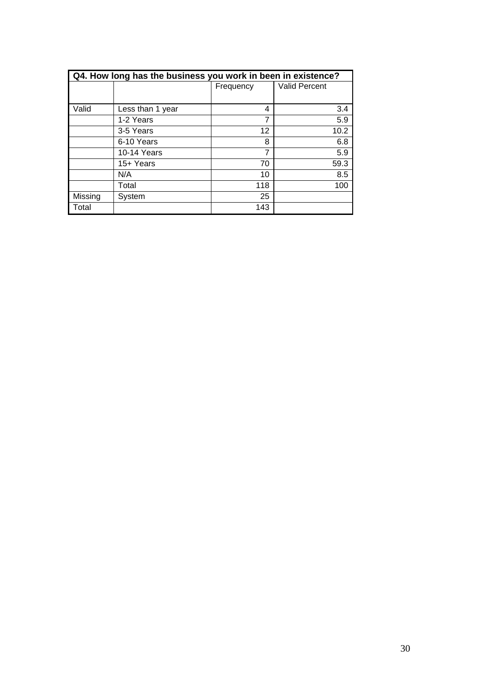|         | Q4. How long has the business you work in been in existence? |           |                      |
|---------|--------------------------------------------------------------|-----------|----------------------|
|         |                                                              | Frequency | <b>Valid Percent</b> |
|         |                                                              |           |                      |
| Valid   | Less than 1 year                                             | 4         | 3.4                  |
|         | 1-2 Years                                                    | 7         | 5.9                  |
|         | 3-5 Years                                                    | 12        | 10.2                 |
|         | 6-10 Years                                                   | 8         | 6.8                  |
|         | 10-14 Years                                                  | 7         | 5.9                  |
|         | 15+ Years                                                    | 70        | 59.3                 |
|         | N/A                                                          | 10        | 8.5                  |
|         | Total                                                        | 118       | 100                  |
| Missing | System                                                       | 25        |                      |
| Total   |                                                              | 143       |                      |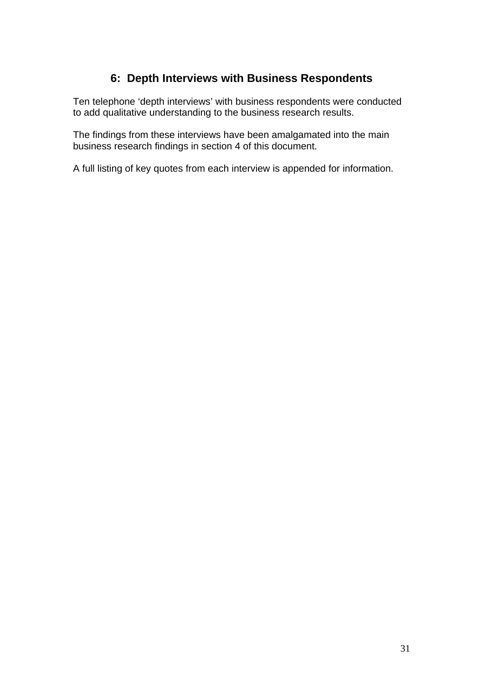### **6: Depth Interviews with Business Respondents**

Ten telephone 'depth interviews' with business respondents were conducted to add qualitative understanding to the business research results.

The findings from these interviews have been amalgamated into the main business research findings in section 4 of this document.

A full listing of key quotes from each interview is appended for information.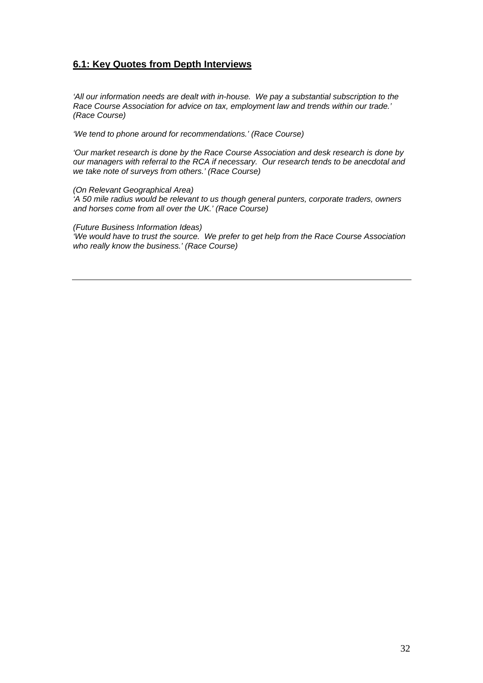#### **6.1: Key Quotes from Depth Interviews**

*'All our information needs are dealt with in-house. We pay a substantial subscription to the Race Course Association for advice on tax, employment law and trends within our trade.' (Race Course)* 

*'We tend to phone around for recommendations.' (Race Course)* 

*'Our market research is done by the Race Course Association and desk research is done by our managers with referral to the RCA if necessary. Our research tends to be anecdotal and we take note of surveys from others.' (Race Course)* 

*(On Relevant Geographical Area) 'A 50 mile radius would be relevant to us though general punters, corporate traders, owners and horses come from all over the UK.' (Race Course)* 

*(Future Business Information Ideas) 'We would have to trust the source. We prefer to get help from the Race Course Association who really know the business.' (Race Course)*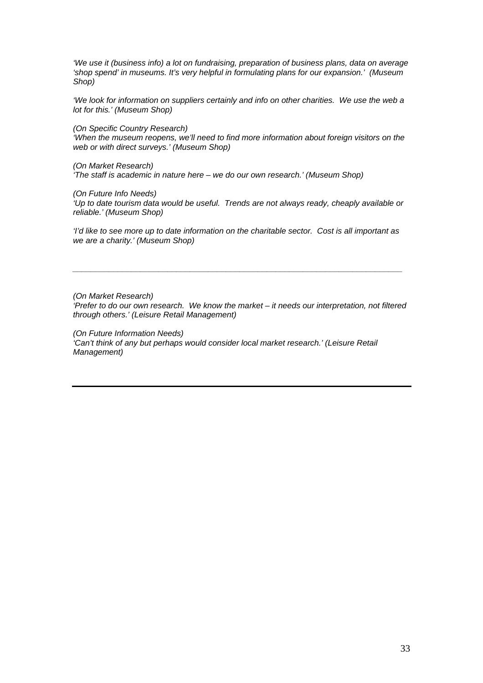*'We use it (business info) a lot on fundraising, preparation of business plans, data on average 'shop spend' in museums. It's very helpful in formulating plans for our expansion.' (Museum Shop)* 

*'We look for information on suppliers certainly and info on other charities. We use the web a lot for this.' (Museum Shop)* 

*(On Specific Country Research)* 

*'When the museum reopens, we'll need to find more information about foreign visitors on the web or with direct surveys.' (Museum Shop)* 

*(On Market Research) 'The staff is academic in nature here – we do our own research.' (Museum Shop)* 

*(On Future Info Needs)* 

*'Up to date tourism data would be useful. Trends are not always ready, cheaply available or reliable.' (Museum Shop)* 

*'I'd like to see more up to date information on the charitable sector. Cost is all important as we are a charity.' (Museum Shop)* 

*\_\_\_\_\_\_\_\_\_\_\_\_\_\_\_\_\_\_\_\_\_\_\_\_\_\_\_\_\_\_\_\_\_\_\_\_\_\_\_\_\_\_\_\_\_\_\_\_\_\_\_\_\_\_\_\_\_\_\_\_\_\_\_\_\_\_\_\_\_\_\_\_\_* 

*(On Market Research) 'Prefer to do our own research. We know the market – it needs our interpretation, not filtered through others.' (Leisure Retail Management)* 

*(On Future Information Needs) 'Can't think of any but perhaps would consider local market research.' (Leisure Retail Management)*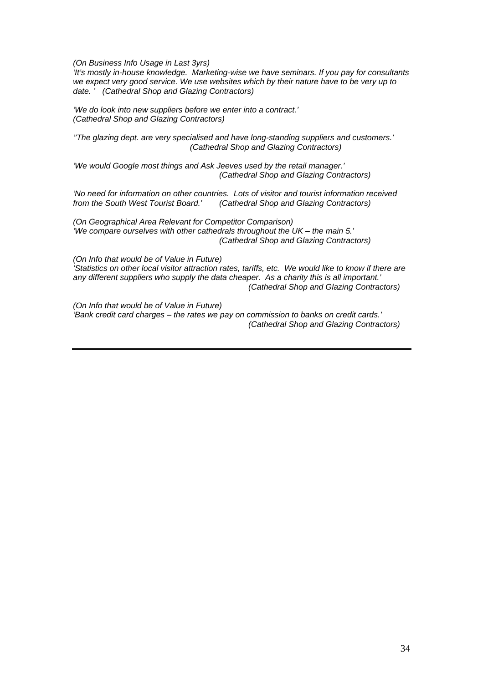*(On Business Info Usage in Last 3yrs)* 

*'It's mostly in-house knowledge. Marketing-wise we have seminars. If you pay for consultants we expect very good service. We use websites which by their nature have to be very up to date. ' (Cathedral Shop and Glazing Contractors)* 

*'We do look into new suppliers before we enter into a contract.' (Cathedral Shop and Glazing Contractors)* 

*''The glazing dept. are very specialised and have long-standing suppliers and customers.' (Cathedral Shop and Glazing Contractors)* 

*'We would Google most things and Ask Jeeves used by the retail manager.' (Cathedral Shop and Glazing Contractors)* 

*'No need for information on other countries. Lots of visitor and tourist information received from the South West Tourist Board.' (Cathedral Shop and Glazing Contractors)* 

*(On Geographical Area Relevant for Competitor Comparison) 'We compare ourselves with other cathedrals throughout the UK – the main 5.' (Cathedral Shop and Glazing Contractors)* 

*(On Info that would be of Value in Future) 'Statistics on other local visitor attraction rates, tariffs, etc. We would like to know if there are any different suppliers who supply the data cheaper. As a charity this is all important.' (Cathedral Shop and Glazing Contractors)* 

*(On Info that would be of Value in Future) 'Bank credit card charges – the rates we pay on commission to banks on credit cards.' (Cathedral Shop and Glazing Contractors)*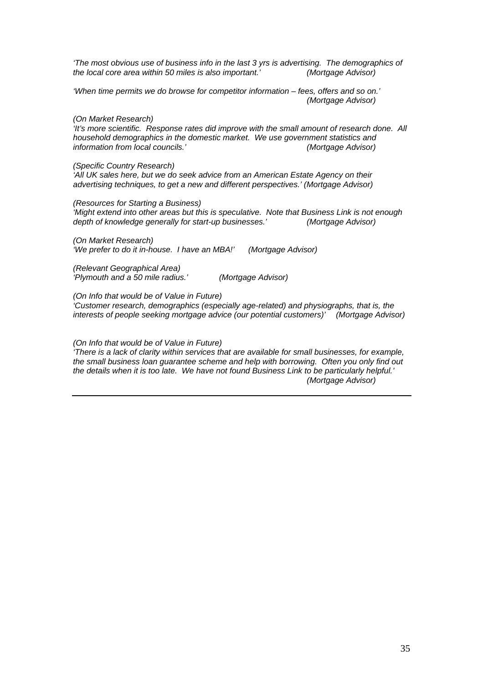*'The most obvious use of business info in the last 3 yrs is advertising. The demographics of the local core area within 50 miles is also important.' (Mortgage Advisor)* 

*'When time permits we do browse for competitor information – fees, offers and so on.' (Mortgage Advisor)* 

*(On Market Research)* 

*'It's more scientific. Response rates did improve with the small amount of research done. All household demographics in the domestic market. We use government statistics and information from local councils.'* 

*(Specific Country Research)* 

*'All UK sales here, but we do seek advice from an American Estate Agency on their advertising techniques, to get a new and different perspectives.' (Mortgage Advisor)* 

*(Resources for Starting a Business) 'Might extend into other areas but this is speculative. Note that Business Link is not enough depth of knowledge generally for start-up businesses.' (Mortgage Advisor)* 

*(On Market Research) 'We prefer to do it in-house. I have an MBA!' (Mortgage Advisor)* 

*(Relevant Geographical Area) 'Plymouth and a 50 mile radius.' (Mortgage Advisor)* 

*(On Info that would be of Value in Future)* 

*'Customer research, demographics (especially age-related) and physiographs, that is, the interests of people seeking mortgage advice (our potential customers)' (Mortgage Advisor)* 

#### *(On Info that would be of Value in Future)*

*'There is a lack of clarity within services that are available for small businesses, for example, the small business loan guarantee scheme and help with borrowing. Often you only find out the details when it is too late. We have not found Business Link to be particularly helpful.' (Mortgage Advisor)*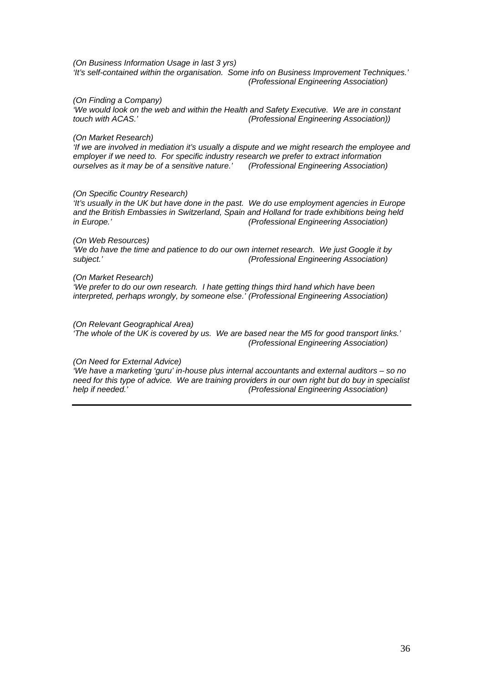*(On Business Information Usage in last 3 yrs) 'It's self-contained within the organisation. Some info on Business Improvement Techniques.' (Professional Engineering Association)* 

#### *(On Finding a Company)*

*'We would look on the web and within the Health and Safety Executive. We are in constant touch with ACAS.' (Professional Engineering Association))* 

#### *(On Market Research)*

*'If we are involved in mediation it's usually a dispute and we might research the employee and employer if we need to. For specific industry research we prefer to extract information ourselves as it may be of a sensitive nature.' (Professional Engineering Association)* 

#### *(On Specific Country Research)*

*'It's usually in the UK but have done in the past. We do use employment agencies in Europe and the British Embassies in Switzerland, Spain and Holland for trade exhibitions being held in Europe.' (Professional Engineering Association)* 

#### *(On Web Resources)*

*'We do have the time and patience to do our own internet research. We just Google it by subject.' (Professional Engineering Association)* 

#### *(On Market Research)*

*'We prefer to do our own research. I hate getting things third hand which have been interpreted, perhaps wrongly, by someone else.' (Professional Engineering Association)* 

#### *(On Relevant Geographical Area)*

*'The whole of the UK is covered by us. We are based near the M5 for good transport links.' (Professional Engineering Association)* 

#### *(On Need for External Advice)*

*'We have a marketing 'guru' in-house plus internal accountants and external auditors – so no need for this type of advice. We are training providers in our own right but do buy in specialist help if needed.' (Professional Engineering Association)*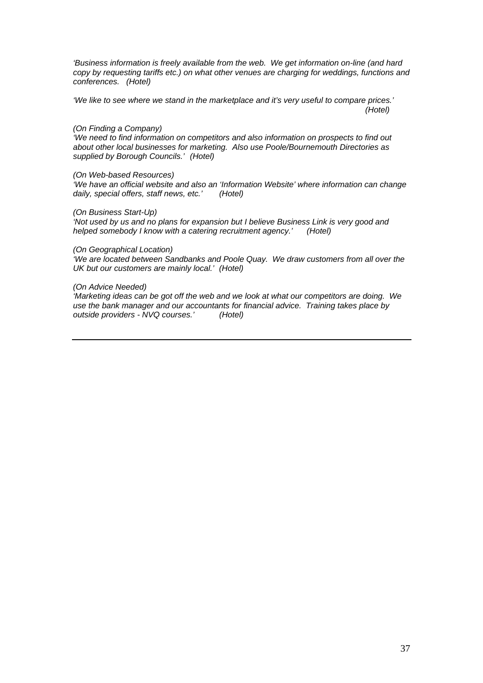*'Business information is freely available from the web. We get information on-line (and hard copy by requesting tariffs etc.) on what other venues are charging for weddings, functions and conferences. (Hotel)* 

*'We like to see where we stand in the marketplace and it's very useful to compare prices.' (Hotel)* 

#### *(On Finding a Company)*

*'We need to find information on competitors and also information on prospects to find out about other local businesses for marketing. Also use Poole/Bournemouth Directories as supplied by Borough Councils.' (Hotel)* 

#### *(On Web-based Resources)*

*'We have an official website and also an 'Information Website' where information can change daily, special offers, staff news, etc.' (Hotel)* 

#### *(On Business Start-Up)*

*'Not used by us and no plans for expansion but I believe Business Link is very good and helped somebody I know with a catering recruitment agency.' (Hotel)* 

#### *(On Geographical Location)*

*'We are located between Sandbanks and Poole Quay. We draw customers from all over the UK but our customers are mainly local.' (Hotel)* 

#### *(On Advice Needed)*

*'Marketing ideas can be got off the web and we look at what our competitors are doing. We use the bank manager and our accountants for financial advice. Training takes place by outside providers - NVQ courses.' (Hotel)*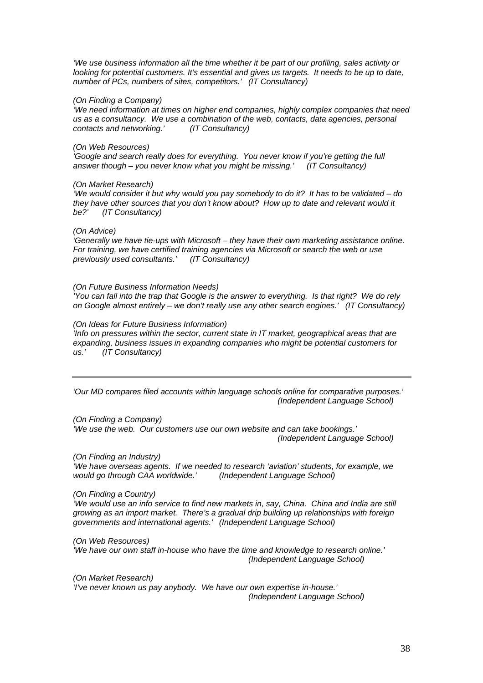*'We use business information all the time whether it be part of our profiling, sales activity or looking for potential customers. It's essential and gives us targets. It needs to be up to date, number of PCs, numbers of sites, competitors.' (IT Consultancy)* 

#### *(On Finding a Company)*

*'We need information at times on higher end companies, highly complex companies that need us as a consultancy. We use a combination of the web, contacts, data agencies, personal contacts and networking.' (IT Consultancy)* 

#### *(On Web Resources)*

*'Google and search really does for everything. You never know if you're getting the full answer though – you never know what you might be missing.' (IT Consultancy)* 

#### *(On Market Research)*

*'We would consider it but why would you pay somebody to do it? It has to be validated – do they have other sources that you don't know about? How up to date and relevant would it be?' (IT Consultancy)* 

#### *(On Advice)*

*'Generally we have tie-ups with Microsoft – they have their own marketing assistance online. For training, we have certified training agencies via Microsoft or search the web or use previously used consultants.' (IT Consultancy)* 

#### *(On Future Business Information Needs)*

*'You can fall into the trap that Google is the answer to everything. Is that right? We do rely on Google almost entirely – we don't really use any other search engines.' (IT Consultancy)* 

#### *(On Ideas for Future Business Information)*

*'Info on pressures within the sector, current state in IT market, geographical areas that are expanding, business issues in expanding companies who might be potential customers for us.' (IT Consultancy)* 

*'Our MD compares filed accounts within language schools online for comparative purposes.' (Independent Language School)* 

*(On Finding a Company) 'We use the web. Our customers use our own website and can take bookings.' (Independent Language School)* 

*(On Finding an Industry)* 

*'We have overseas agents. If we needed to research 'aviation' students, for example, we would go through CAA worldwide.' (Independent Language School)* 

#### *(On Finding a Country)*

*'We would use an info service to find new markets in, say, China. China and India are still growing as an import market. There's a gradual drip building up relationships with foreign governments and international agents.' (Independent Language School)* 

*(On Web Resources) 'We have our own staff in-house who have the time and knowledge to research online.' (Independent Language School)* 

*(On Market Research) 'I've never known us pay anybody. We have our own expertise in-house.' (Independent Language School)*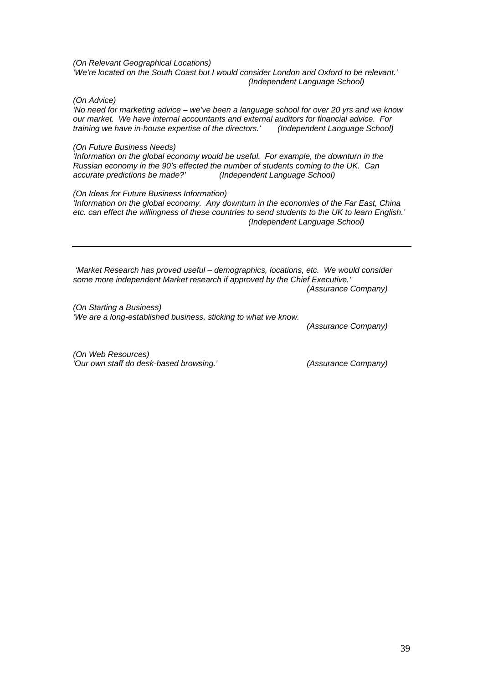*(On Relevant Geographical Locations) 'We're located on the South Coast but I would consider London and Oxford to be relevant.' (Independent Language School)* 

*(On Advice)* 

*'No need for marketing advice – we've been a language school for over 20 yrs and we know our market. We have internal accountants and external auditors for financial advice. For training we have in-house expertise of the directors.' (Independent Language School)* 

#### *(On Future Business Needs)*

*'Information on the global economy would be useful. For example, the downturn in the Russian economy in the 90's effected the number of students coming to the UK. Can accurate predictions be made?' (Independent Language School)* 

#### *(On Ideas for Future Business Information)*

*'Information on the global economy. Any downturn in the economies of the Far East, China etc. can effect the willingness of these countries to send students to the UK to learn English.' (Independent Language School)* 

 *'Market Research has proved useful – demographics, locations, etc. We would consider some more independent Market research if approved by the Chief Executive.'* 

 *(Assurance Company)* 

*(On Starting a Business) 'We are a long-established business, sticking to what we know.* 

 *(Assurance Company)* 

*(On Web Resources) 'Our own staff do desk-based browsing.' (Assurance Company)*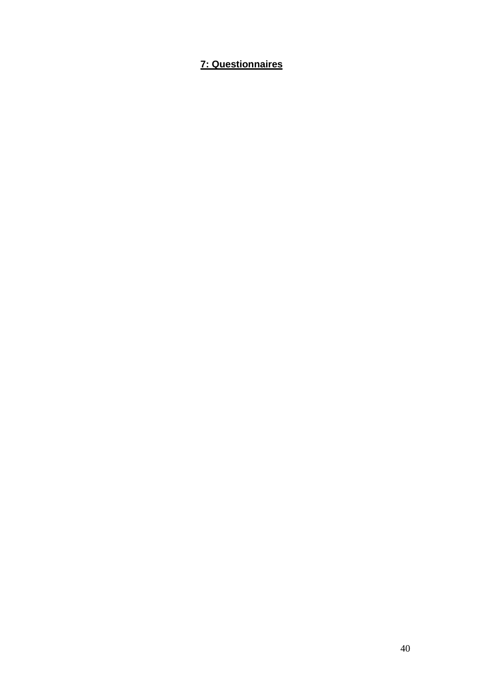### **7: Questionnaires**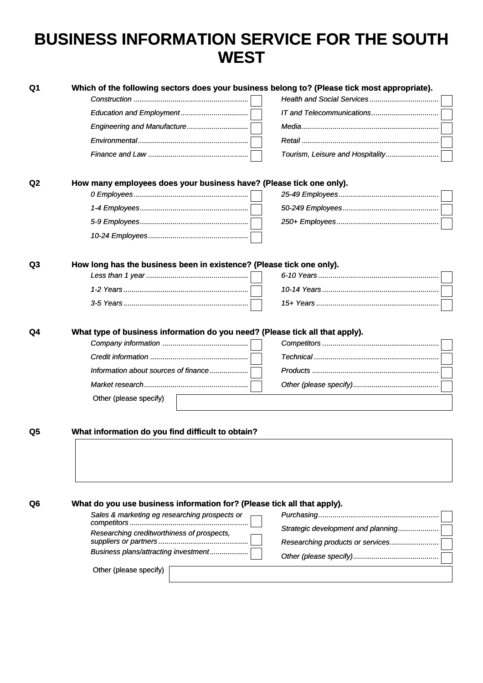## **BUSINESS INFORMATION SERVICE FOR THE SOUTH WEST**

| Q1             | Which of the following sectors does your business belong to? (Please tick most appropriate).                                                   |                                    |
|----------------|------------------------------------------------------------------------------------------------------------------------------------------------|------------------------------------|
|                |                                                                                                                                                |                                    |
|                | Engineering and Manufacture                                                                                                                    |                                    |
|                |                                                                                                                                                |                                    |
|                |                                                                                                                                                |                                    |
|                |                                                                                                                                                | Tourism, Leisure and Hospitality   |
| Q <sub>2</sub> | How many employees does your business have? (Please tick one only).                                                                            |                                    |
|                |                                                                                                                                                |                                    |
|                |                                                                                                                                                |                                    |
|                |                                                                                                                                                |                                    |
|                |                                                                                                                                                |                                    |
|                |                                                                                                                                                |                                    |
| Q3             | How long has the business been in existence? (Please tick one only).                                                                           |                                    |
|                |                                                                                                                                                |                                    |
|                |                                                                                                                                                |                                    |
|                |                                                                                                                                                |                                    |
| Q4             | What type of business information do you need? (Please tick all that apply).<br>Information about sources of finance<br>Other (please specify) |                                    |
|                |                                                                                                                                                |                                    |
| Q5             | What information do you find difficult to obtain?                                                                                              |                                    |
|                |                                                                                                                                                |                                    |
| Q6             | What do you use business information for? (Please tick all that apply).                                                                        |                                    |
|                | Sales & marketing eg researching prospects or                                                                                                  |                                    |
|                | Researching creditworthiness of prospects,                                                                                                     | Strategic development and planning |
|                |                                                                                                                                                | Researching products or services   |
|                |                                                                                                                                                |                                    |
|                | Business plans/attracting investment                                                                                                           |                                    |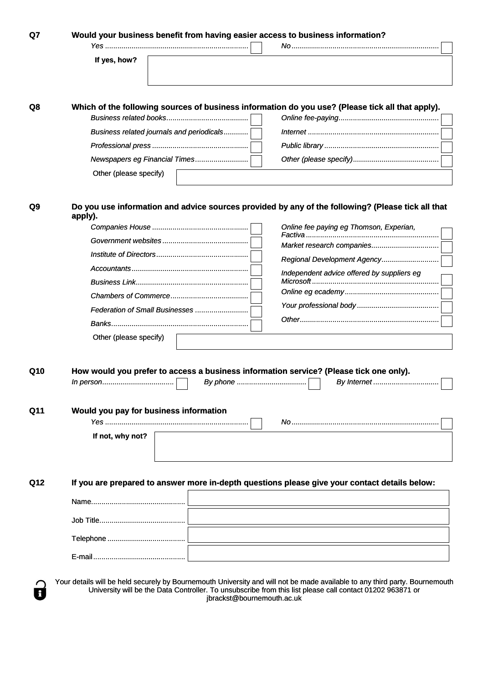| Would your business benefit from having easier access to business information?                               |                                            |  |
|--------------------------------------------------------------------------------------------------------------|--------------------------------------------|--|
|                                                                                                              |                                            |  |
| If yes, how?                                                                                                 |                                            |  |
|                                                                                                              |                                            |  |
| Which of the following sources of business information do you use? (Please tick all that apply).             |                                            |  |
|                                                                                                              |                                            |  |
| Business related journals and periodicals                                                                    |                                            |  |
|                                                                                                              |                                            |  |
| Newspapers eg Financial Times<br>Other (please specify)                                                      |                                            |  |
|                                                                                                              |                                            |  |
| Do you use information and advice sources provided by any of the following? (Please tick all that<br>apply). |                                            |  |
|                                                                                                              | Online fee paying eg Thomson, Experian,    |  |
|                                                                                                              | Market research companies                  |  |
|                                                                                                              | Regional Development Agency                |  |
|                                                                                                              | Independent advice offered by suppliers eg |  |
|                                                                                                              |                                            |  |
|                                                                                                              |                                            |  |
| Federation of Small Businesses                                                                               |                                            |  |
|                                                                                                              |                                            |  |
| Other (please specify)                                                                                       |                                            |  |
|                                                                                                              |                                            |  |
| How would you prefer to access a business information service? (Please tick one only).                       |                                            |  |
|                                                                                                              |                                            |  |
|                                                                                                              |                                            |  |
| Would you pay for business information                                                                       |                                            |  |
|                                                                                                              |                                            |  |
| If not, why not?                                                                                             |                                            |  |
|                                                                                                              |                                            |  |
| If you are prepared to answer more in-depth questions please give your contact details below:                |                                            |  |
|                                                                                                              |                                            |  |
|                                                                                                              |                                            |  |
|                                                                                                              |                                            |  |
|                                                                                                              |                                            |  |

jbrackst@bournemouth.ac.uk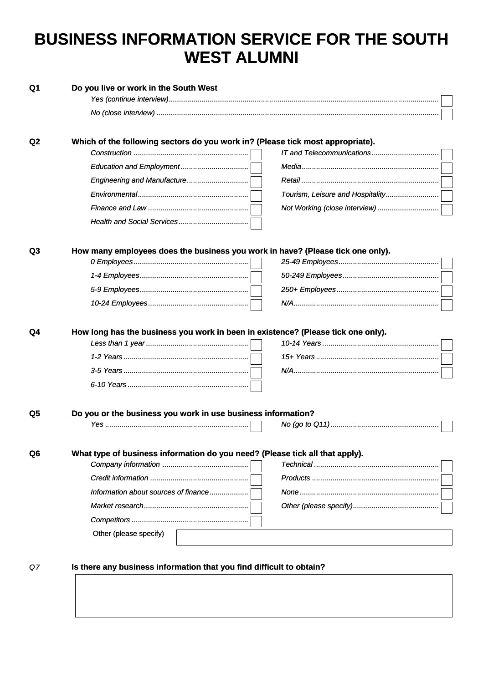## **BUSINESS INFORMATION SERVICE FOR THE SOUTH WEST ALUMNI**

| Which of the following sectors do you work in? (Please tick most appropriate).   |                                  |
|----------------------------------------------------------------------------------|----------------------------------|
|                                                                                  |                                  |
| Engineering and Manufacture                                                      |                                  |
|                                                                                  | Tourism, Leisure and Hospitality |
|                                                                                  | Not Working (close interview)    |
|                                                                                  |                                  |
|                                                                                  |                                  |
| How many employees does the business you work in have? (Please tick one only).   |                                  |
|                                                                                  |                                  |
|                                                                                  |                                  |
|                                                                                  |                                  |
|                                                                                  |                                  |
| How long has the business you work in been in existence? (Please tick one only). |                                  |
|                                                                                  |                                  |
|                                                                                  |                                  |
|                                                                                  |                                  |
|                                                                                  |                                  |
|                                                                                  |                                  |
| Do you or the business you work in use business information?                     |                                  |
|                                                                                  |                                  |
| What type of business information do you need? (Please tick all that apply).     |                                  |
|                                                                                  |                                  |
|                                                                                  |                                  |
| Information about sources of finance                                             |                                  |
|                                                                                  |                                  |
|                                                                                  |                                  |
| Other (please specify)                                                           |                                  |
|                                                                                  |                                  |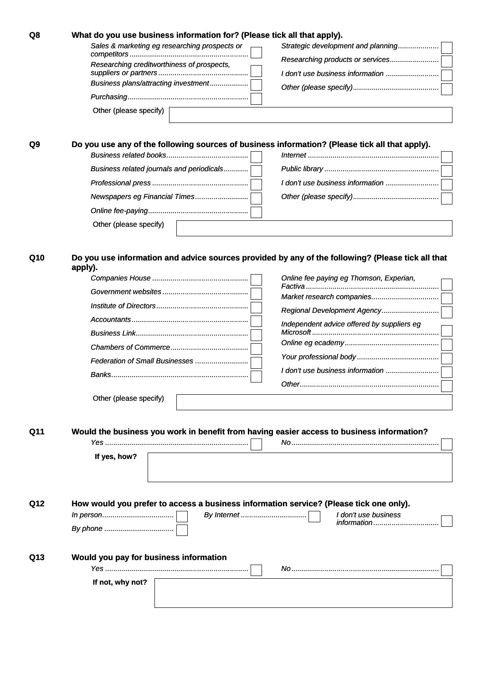| Q8  | What do you use business information for? (Please tick all that apply).                           |                                            |  |
|-----|---------------------------------------------------------------------------------------------------|--------------------------------------------|--|
|     | Sales & marketing eg researching prospects or                                                     | Strategic development and planning         |  |
|     | Researching creditworthiness of prospects,                                                        | Researching products or services           |  |
|     |                                                                                                   | I don't use business information           |  |
|     | Business plans/attracting investment                                                              |                                            |  |
|     |                                                                                                   |                                            |  |
|     | Other (please specify)                                                                            |                                            |  |
|     |                                                                                                   |                                            |  |
| Q9  | Do you use any of the following sources of business information? (Please tick all that apply).    |                                            |  |
|     |                                                                                                   |                                            |  |
|     | Business related journals and periodicals                                                         |                                            |  |
|     |                                                                                                   | I don't use business information           |  |
|     | Newspapers eg Financial Times                                                                     |                                            |  |
|     |                                                                                                   |                                            |  |
|     |                                                                                                   |                                            |  |
|     | Other (please specify)                                                                            |                                            |  |
|     |                                                                                                   |                                            |  |
| Q10 | Do you use information and advice sources provided by any of the following? (Please tick all that |                                            |  |
|     | apply).                                                                                           |                                            |  |
|     |                                                                                                   | Online fee paying eg Thomson, Experian,    |  |
|     |                                                                                                   | Market research companies                  |  |
|     |                                                                                                   | Regional Development Agency                |  |
|     |                                                                                                   | Independent advice offered by suppliers eg |  |
|     |                                                                                                   |                                            |  |
|     |                                                                                                   |                                            |  |
|     |                                                                                                   |                                            |  |
|     |                                                                                                   | I don't use business information           |  |
|     |                                                                                                   |                                            |  |
|     | Other (please specify)                                                                            |                                            |  |
|     |                                                                                                   |                                            |  |
|     |                                                                                                   |                                            |  |
| Q11 | Would the business you work in benefit from having easier access to business information?         |                                            |  |
|     |                                                                                                   |                                            |  |
|     | If yes, how?                                                                                      |                                            |  |
|     |                                                                                                   |                                            |  |
|     |                                                                                                   |                                            |  |
| Q12 | How would you prefer to access a business information service? (Please tick one only).            |                                            |  |
|     |                                                                                                   | I don't use business                       |  |
|     |                                                                                                   | information                                |  |
|     |                                                                                                   |                                            |  |
|     |                                                                                                   |                                            |  |
| Q13 | Would you pay for business information                                                            |                                            |  |
|     | If not, why not?                                                                                  |                                            |  |
|     |                                                                                                   |                                            |  |
|     |                                                                                                   |                                            |  |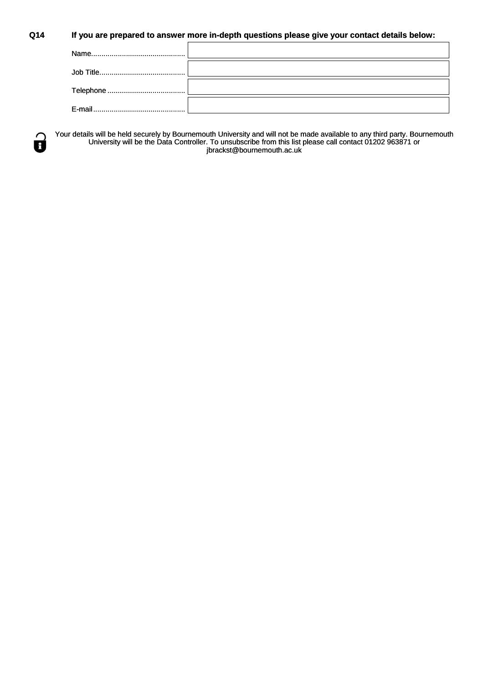#### **Q14 If you are prepared to answer more in-depth questions please give your contact details below:**

 $\mathsf{r}$ 



Your details will be held securely by Bournemouth University and will not be made available to any third party. Bournemouth University will be the Data Controller. To unsubscribe from this list please call contact 01202 963871 or jbrackst@bournemouth.ac.uk